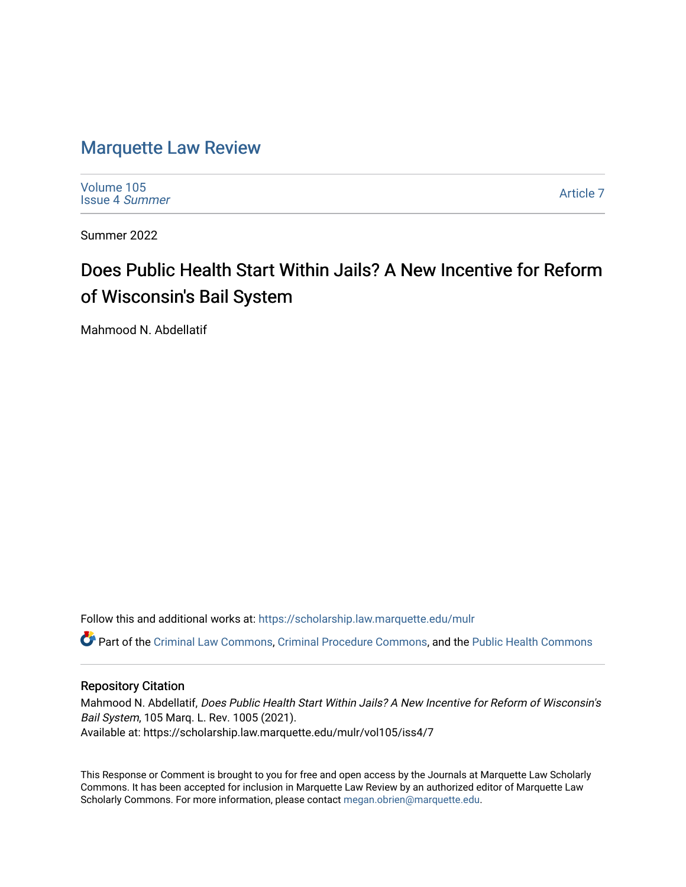# [Marquette Law Review](https://scholarship.law.marquette.edu/mulr)

[Volume 105](https://scholarship.law.marquette.edu/mulr/vol105) [Issue 4](https://scholarship.law.marquette.edu/mulr/vol105/iss4) Summer

[Article 7](https://scholarship.law.marquette.edu/mulr/vol105/iss4/7) 

Summer 2022

# Does Public Health Start Within Jails? A New Incentive for Reform of Wisconsin's Bail System

Mahmood N. Abdellatif

Follow this and additional works at: [https://scholarship.law.marquette.edu/mulr](https://scholarship.law.marquette.edu/mulr?utm_source=scholarship.law.marquette.edu%2Fmulr%2Fvol105%2Fiss4%2F7&utm_medium=PDF&utm_campaign=PDFCoverPages) 

Part of the [Criminal Law Commons,](https://network.bepress.com/hgg/discipline/912?utm_source=scholarship.law.marquette.edu%2Fmulr%2Fvol105%2Fiss4%2F7&utm_medium=PDF&utm_campaign=PDFCoverPages) [Criminal Procedure Commons,](https://network.bepress.com/hgg/discipline/1073?utm_source=scholarship.law.marquette.edu%2Fmulr%2Fvol105%2Fiss4%2F7&utm_medium=PDF&utm_campaign=PDFCoverPages) and the [Public Health Commons](https://network.bepress.com/hgg/discipline/738?utm_source=scholarship.law.marquette.edu%2Fmulr%2Fvol105%2Fiss4%2F7&utm_medium=PDF&utm_campaign=PDFCoverPages)

# Repository Citation

Mahmood N. Abdellatif, Does Public Health Start Within Jails? A New Incentive for Reform of Wisconsin's Bail System, 105 Marq. L. Rev. 1005 (2021). Available at: https://scholarship.law.marquette.edu/mulr/vol105/iss4/7

This Response or Comment is brought to you for free and open access by the Journals at Marquette Law Scholarly Commons. It has been accepted for inclusion in Marquette Law Review by an authorized editor of Marquette Law Scholarly Commons. For more information, please contact [megan.obrien@marquette.edu](mailto:megan.obrien@marquette.edu).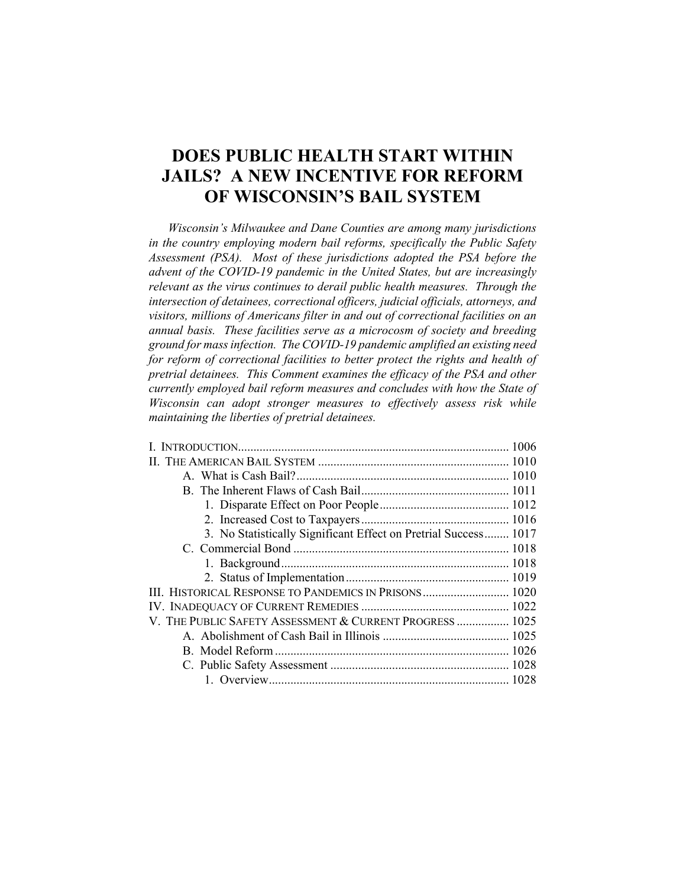# **DOES PUBLIC HEALTH START WITHIN JAILS? A NEW INCENTIVE FOR REFORM OF WISCONSIN'S BAIL SYSTEM**

*Wisconsin's Milwaukee and Dane Counties are among many jurisdictions in the country employing modern bail reforms, specifically the Public Safety Assessment (PSA). Most of these jurisdictions adopted the PSA before the advent of the COVID-19 pandemic in the United States, but are increasingly relevant as the virus continues to derail public health measures. Through the intersection of detainees, correctional officers, judicial officials, attorneys, and visitors, millions of Americans filter in and out of correctional facilities on an annual basis. These facilities serve as a microcosm of society and breeding ground for mass infection. The COVID-19 pandemic amplified an existing need for reform of correctional facilities to better protect the rights and health of pretrial detainees. This Comment examines the efficacy of the PSA and other currently employed bail reform measures and concludes with how the State of Wisconsin can adopt stronger measures to effectively assess risk while maintaining the liberties of pretrial detainees.*

| 3. No Statistically Significant Effect on Pretrial Success 1017 |
|-----------------------------------------------------------------|
|                                                                 |
|                                                                 |
|                                                                 |
| III. HISTORICAL RESPONSE TO PANDEMICS IN PRISONS 1020           |
|                                                                 |
| V. THE PUBLIC SAFETY ASSESSMENT & CURRENT PROGRESS  1025        |
|                                                                 |
|                                                                 |
|                                                                 |
|                                                                 |
|                                                                 |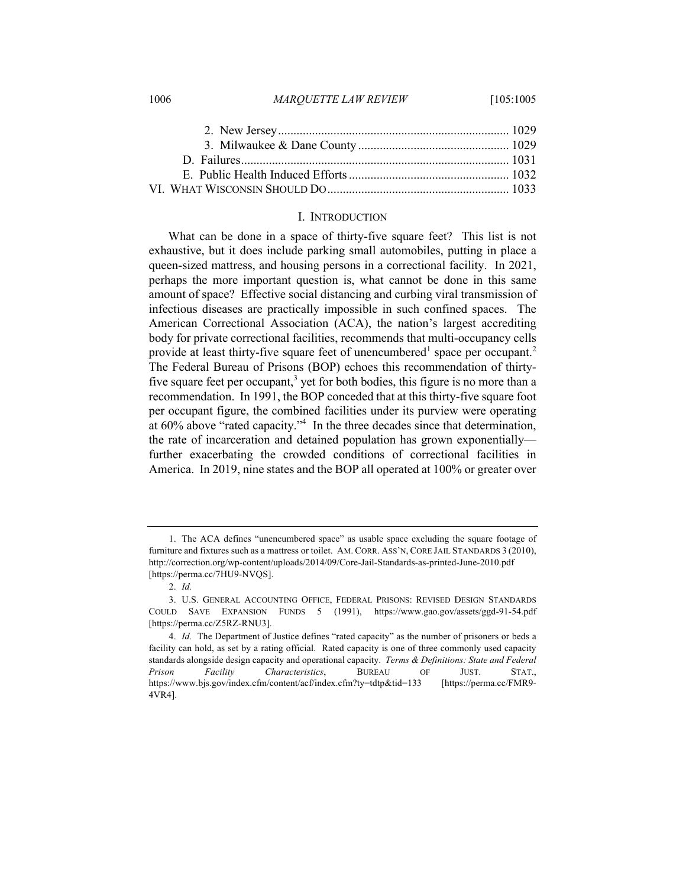#### 1006 *MARQUETTE LAW REVIEW* [105:1005

## I. INTRODUCTION

What can be done in a space of thirty-five square feet? This list is not exhaustive, but it does include parking small automobiles, putting in place a queen-sized mattress, and housing persons in a correctional facility. In 2021, perhaps the more important question is, what cannot be done in this same amount of space? Effective social distancing and curbing viral transmission of infectious diseases are practically impossible in such confined spaces. The American Correctional Association (ACA), the nation's largest accrediting body for private correctional facilities, recommends that multi-occupancy cells provide at least thirty-five square feet of unencumbered<sup>1</sup> space per occupant.<sup>2</sup> The Federal Bureau of Prisons (BOP) echoes this recommendation of thirtyfive square feet per occupant,<sup>3</sup> yet for both bodies, this figure is no more than a recommendation. In 1991, the BOP conceded that at this thirty-five square foot per occupant figure, the combined facilities under its purview were operating at 60% above "rated capacity."4 In the three decades since that determination, the rate of incarceration and detained population has grown exponentially further exacerbating the crowded conditions of correctional facilities in America. In 2019, nine states and the BOP all operated at 100% or greater over

<sup>1.</sup> The ACA defines "unencumbered space" as usable space excluding the square footage of furniture and fixtures such as a mattress or toilet. AM. CORR. ASS'N, CORE JAIL STANDARDS 3 (2010), http://correction.org/wp-content/uploads/2014/09/Core-Jail-Standards-as-printed-June-2010.pdf [https://perma.cc/7HU9-NVQS].

<sup>2.</sup> *Id.*

<sup>3.</sup> U.S. GENERAL ACCOUNTING OFFICE, FEDERAL PRISONS: REVISED DESIGN STANDARDS COULD SAVE EXPANSION FUNDS 5 (1991), https://www.gao.gov/assets/ggd-91-54.pdf [https://perma.cc/Z5RZ-RNU3].

<sup>4.</sup> *Id.* The Department of Justice defines "rated capacity" as the number of prisoners or beds a facility can hold, as set by a rating official. Rated capacity is one of three commonly used capacity standards alongside design capacity and operational capacity. *Terms & Definitions: State and Federal Prison Facility Characteristics*, BUREAU OF JUST. STAT., https://www.bjs.gov/index.cfm/content/acf/index.cfm?ty=tdtp&tid=133 [https://perma.cc/FMR9- 4VR4].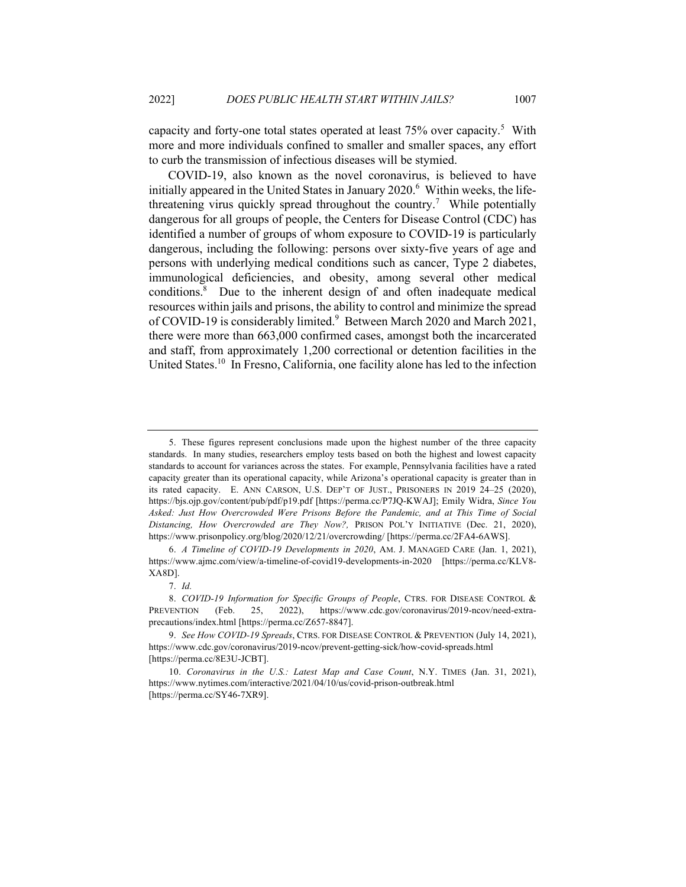capacity and forty-one total states operated at least  $75\%$  over capacity.<sup>5</sup> With more and more individuals confined to smaller and smaller spaces, any effort to curb the transmission of infectious diseases will be stymied.

COVID-19, also known as the novel coronavirus, is believed to have initially appeared in the United States in January  $2020$ .<sup>6</sup> Within weeks, the lifethreatening virus quickly spread throughout the country.<sup>7</sup> While potentially dangerous for all groups of people, the Centers for Disease Control (CDC) has identified a number of groups of whom exposure to COVID-19 is particularly dangerous, including the following: persons over sixty-five years of age and persons with underlying medical conditions such as cancer, Type 2 diabetes, immunological deficiencies, and obesity, among several other medical conditions.8 Due to the inherent design of and often inadequate medical resources within jails and prisons, the ability to control and minimize the spread of COVID-19 is considerably limited.<sup>9</sup> Between March 2020 and March 2021, there were more than 663,000 confirmed cases, amongst both the incarcerated and staff, from approximately 1,200 correctional or detention facilities in the United States.<sup>10</sup> In Fresno, California, one facility alone has led to the infection

<sup>5.</sup> These figures represent conclusions made upon the highest number of the three capacity standards. In many studies, researchers employ tests based on both the highest and lowest capacity standards to account for variances across the states. For example, Pennsylvania facilities have a rated capacity greater than its operational capacity, while Arizona's operational capacity is greater than in its rated capacity. E. ANN CARSON, U.S. DEP'T OF JUST., PRISONERS IN 2019 24–25 (2020), https://bjs.ojp.gov/content/pub/pdf/p19.pdf [https://perma.cc/P7JQ-KWAJ]; Emily Widra, *Since You Asked: Just How Overcrowded Were Prisons Before the Pandemic, and at This Time of Social Distancing, How Overcrowded are They Now?,* PRISON POL'Y INITIATIVE (Dec. 21, 2020), https://www.prisonpolicy.org/blog/2020/12/21/overcrowding/ [https://perma.cc/2FA4-6AWS].

<sup>6.</sup> *A Timeline of COVID-19 Developments in 2020*, AM. J. MANAGED CARE (Jan. 1, 2021), https://www.ajmc.com/view/a-timeline-of-covid19-developments-in-2020 [https://perma.cc/KLV8- XA8D].

<sup>7.</sup> *Id.*

<sup>8.</sup> *COVID-19 Information for Specific Groups of People*, CTRS. FOR DISEASE CONTROL & PREVENTION (Feb. 25, 2022), https://www.cdc.gov/coronavirus/2019-ncov/need-extraprecautions/index.html [https://perma.cc/Z657-8847].

<sup>9.</sup> *See How COVID-19 Spreads*, CTRS. FOR DISEASE CONTROL & PREVENTION (July 14, 2021), https://www.cdc.gov/coronavirus/2019-ncov/prevent-getting-sick/how-covid-spreads.html [https://perma.cc/8E3U-JCBT].

<sup>10.</sup> *Coronavirus in the U.S.: Latest Map and Case Count*, N.Y. TIMES (Jan. 31, 2021), https://www.nytimes.com/interactive/2021/04/10/us/covid-prison-outbreak.html [https://perma.cc/SY46-7XR9].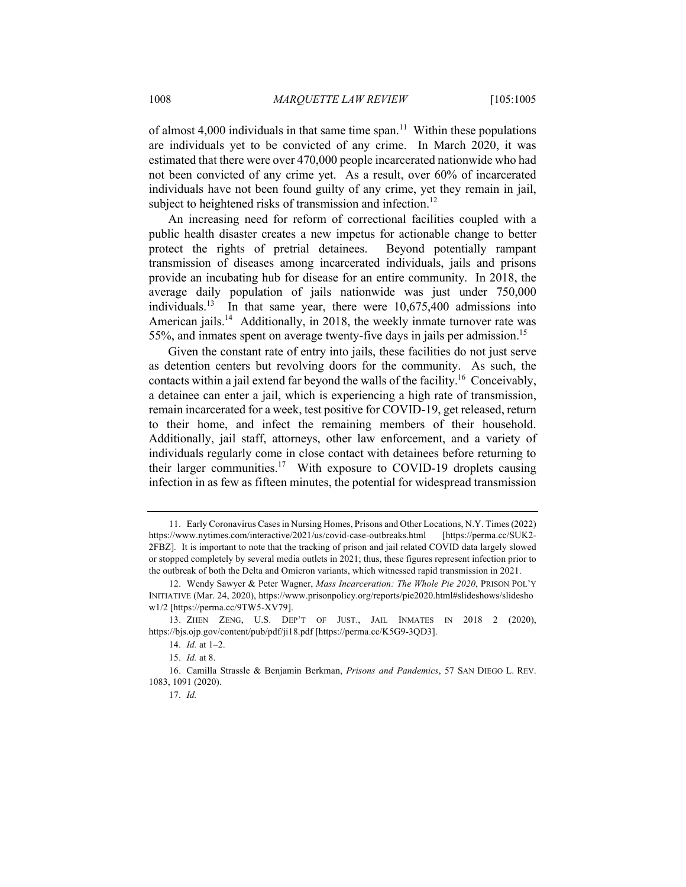of almost  $4,000$  individuals in that same time span.<sup>11</sup> Within these populations are individuals yet to be convicted of any crime. In March 2020, it was estimated that there were over 470,000 people incarcerated nationwide who had not been convicted of any crime yet. As a result, over 60% of incarcerated individuals have not been found guilty of any crime, yet they remain in jail, subject to heightened risks of transmission and infection.<sup>12</sup>

An increasing need for reform of correctional facilities coupled with a public health disaster creates a new impetus for actionable change to better protect the rights of pretrial detainees. Beyond potentially rampant transmission of diseases among incarcerated individuals, jails and prisons provide an incubating hub for disease for an entire community. In 2018, the average daily population of jails nationwide was just under 750,000 individuals.<sup>13</sup> In that same year, there were  $10,675,400$  admissions into American jails.<sup>14</sup> Additionally, in 2018, the weekly inmate turnover rate was 55%, and inmates spent on average twenty-five days in jails per admission.<sup>15</sup>

Given the constant rate of entry into jails, these facilities do not just serve as detention centers but revolving doors for the community. As such, the contacts within a jail extend far beyond the walls of the facility.<sup>16</sup> Conceivably, a detainee can enter a jail, which is experiencing a high rate of transmission, remain incarcerated for a week, test positive for COVID-19, get released, return to their home, and infect the remaining members of their household. Additionally, jail staff, attorneys, other law enforcement, and a variety of individuals regularly come in close contact with detainees before returning to their larger communities.<sup>17</sup> With exposure to COVID-19 droplets causing infection in as few as fifteen minutes, the potential for widespread transmission

<sup>11.</sup> Early Coronavirus Cases in Nursing Homes, Prisons and Other Locations, N.Y. Times (2022) https://www.nytimes.com/interactive/2021/us/covid-case-outbreaks.html [https://perma.cc/SUK2- 2FBZ]*.* It is important to note that the tracking of prison and jail related COVID data largely slowed or stopped completely by several media outlets in 2021; thus, these figures represent infection prior to the outbreak of both the Delta and Omicron variants, which witnessed rapid transmission in 2021.

<sup>12.</sup> Wendy Sawyer & Peter Wagner, *Mass Incarceration: The Whole Pie 2020*, PRISON POL'Y INITIATIVE (Mar. 24, 2020), https://www.prisonpolicy.org/reports/pie2020.html#slideshows/slidesho w1/2 [https://perma.cc/9TW5-XV79].

<sup>13.</sup> ZHEN ZENG, U.S. DEP'T OF JUST., JAIL INMATES IN 2018 2 (2020), https://bjs.ojp.gov/content/pub/pdf/ji18.pdf [https://perma.cc/K5G9-3QD3].

<sup>14.</sup> *Id.* at 1–2.

<sup>15.</sup> *Id.* at 8.

<sup>16.</sup> Camilla Strassle & Benjamin Berkman, *Prisons and Pandemics*, 57 SAN DIEGO L. REV. 1083, 1091 (2020).

<sup>17.</sup> *Id.*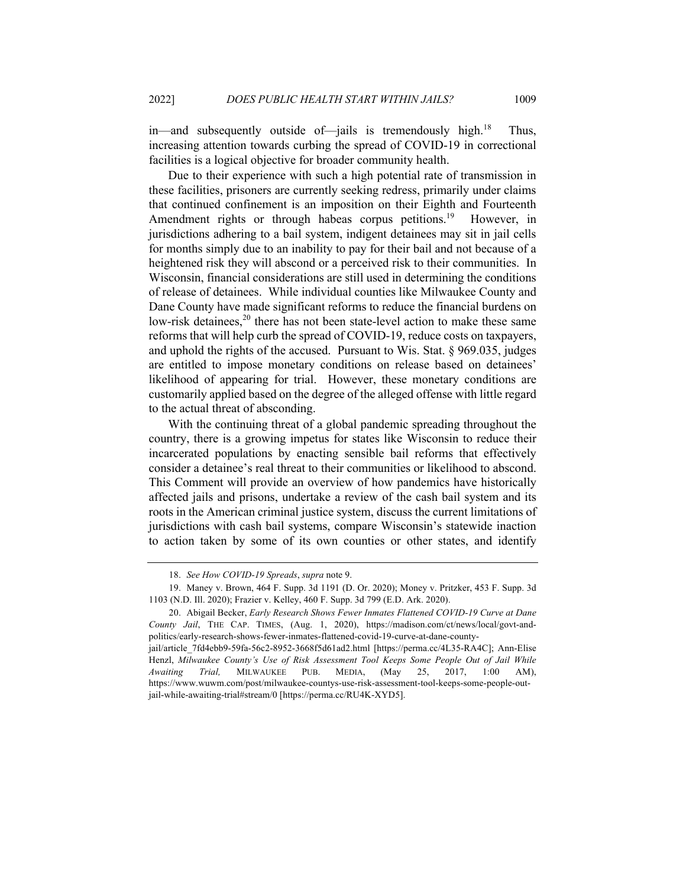in—and subsequently outside of—jails is tremendously high.<sup>18</sup> Thus, increasing attention towards curbing the spread of COVID-19 in correctional facilities is a logical objective for broader community health.

Due to their experience with such a high potential rate of transmission in these facilities, prisoners are currently seeking redress, primarily under claims that continued confinement is an imposition on their Eighth and Fourteenth Amendment rights or through habeas corpus petitions.<sup>19</sup> However, in jurisdictions adhering to a bail system, indigent detainees may sit in jail cells for months simply due to an inability to pay for their bail and not because of a heightened risk they will abscond or a perceived risk to their communities. In Wisconsin, financial considerations are still used in determining the conditions of release of detainees. While individual counties like Milwaukee County and Dane County have made significant reforms to reduce the financial burdens on low-risk detainees, $20$  there has not been state-level action to make these same reforms that will help curb the spread of COVID-19, reduce costs on taxpayers, and uphold the rights of the accused. Pursuant to Wis. Stat. § 969.035, judges are entitled to impose monetary conditions on release based on detainees' likelihood of appearing for trial. However, these monetary conditions are customarily applied based on the degree of the alleged offense with little regard to the actual threat of absconding.

With the continuing threat of a global pandemic spreading throughout the country, there is a growing impetus for states like Wisconsin to reduce their incarcerated populations by enacting sensible bail reforms that effectively consider a detainee's real threat to their communities or likelihood to abscond. This Comment will provide an overview of how pandemics have historically affected jails and prisons, undertake a review of the cash bail system and its roots in the American criminal justice system, discuss the current limitations of jurisdictions with cash bail systems, compare Wisconsin's statewide inaction to action taken by some of its own counties or other states, and identify

<sup>18.</sup> *See How COVID-19 Spreads*, *supra* note 9.

<sup>19.</sup> Maney v. Brown, 464 F. Supp. 3d 1191 (D. Or. 2020); Money v. Pritzker, 453 F. Supp. 3d 1103 (N.D. Ill. 2020); Frazier v. Kelley, 460 F. Supp. 3d 799 (E.D. Ark. 2020).

<sup>20.</sup> Abigail Becker, *Early Research Shows Fewer Inmates Flattened COVID-19 Curve at Dane County Jail*, THE CAP. TIMES, (Aug. 1, 2020), https://madison.com/ct/news/local/govt-andpolitics/early-research-shows-fewer-inmates-flattened-covid-19-curve-at-dane-county-

jail/article\_7fd4ebb9-59fa-56c2-8952-3668f5d61ad2.html [https://perma.cc/4L35-RA4C]; Ann-Elise Henzl, *Milwaukee County's Use of Risk Assessment Tool Keeps Some People Out of Jail While Awaiting Trial,* MILWAUKEE PUB. MEDIA, (May 25, 2017, 1:00 AM), https://www.wuwm.com/post/milwaukee-countys-use-risk-assessment-tool-keeps-some-people-outjail-while-awaiting-trial#stream/0 [https://perma.cc/RU4K-XYD5].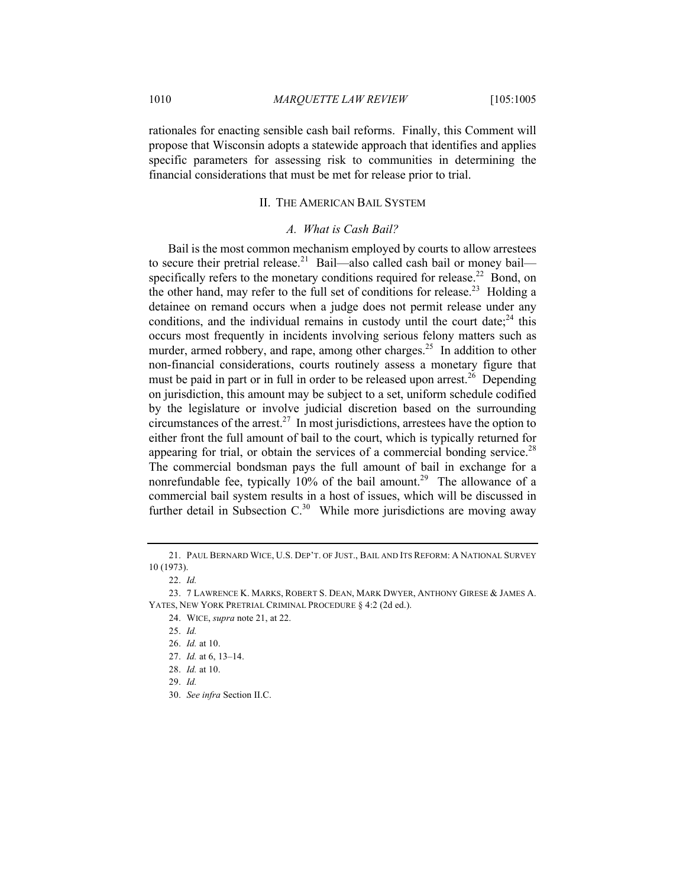rationales for enacting sensible cash bail reforms. Finally, this Comment will propose that Wisconsin adopts a statewide approach that identifies and applies specific parameters for assessing risk to communities in determining the financial considerations that must be met for release prior to trial.

# II. THE AMERICAN BAIL SYSTEM

# *A. What is Cash Bail?*

Bail is the most common mechanism employed by courts to allow arrestees to secure their pretrial release.<sup>21</sup> Bail—also called cash bail or money bail specifically refers to the monetary conditions required for release.<sup>22</sup> Bond, on the other hand, may refer to the full set of conditions for release.<sup>23</sup> Holding a detainee on remand occurs when a judge does not permit release under any conditions, and the individual remains in custody until the court date;  $24$  this occurs most frequently in incidents involving serious felony matters such as murder, armed robbery, and rape, among other charges.<sup>25</sup> In addition to other non-financial considerations, courts routinely assess a monetary figure that must be paid in part or in full in order to be released upon arrest.<sup>26</sup> Depending on jurisdiction, this amount may be subject to a set, uniform schedule codified by the legislature or involve judicial discretion based on the surrounding circumstances of the arrest.<sup>27</sup> In most jurisdictions, arrestees have the option to either front the full amount of bail to the court, which is typically returned for appearing for trial, or obtain the services of a commercial bonding service.<sup>28</sup> The commercial bondsman pays the full amount of bail in exchange for a nonrefundable fee, typically  $10\%$  of the bail amount.<sup>29</sup> The allowance of a commercial bail system results in a host of issues, which will be discussed in further detail in Subsection  $C^{30}$  While more jurisdictions are moving away

<sup>21.</sup> PAUL BERNARD WICE, U.S. DEP'T. OF JUST., BAIL AND ITS REFORM: A NATIONAL SURVEY 10 (1973).

<sup>22.</sup> *Id.*

<sup>23.</sup> 7 LAWRENCE K. MARKS, ROBERT S. DEAN, MARK DWYER, ANTHONY GIRESE & JAMES A. YATES, NEW YORK PRETRIAL CRIMINAL PROCEDURE § 4:2 (2d ed.).

<sup>24.</sup> WICE, *supra* note 21, at 22.

<sup>25.</sup> *Id.*

<sup>26.</sup> *Id.* at 10.

<sup>27.</sup> *Id.* at 6, 13–14.

<sup>28.</sup> *Id.* at 10.

<sup>29.</sup> *Id.*

<sup>30.</sup> *See infra* Section II.C.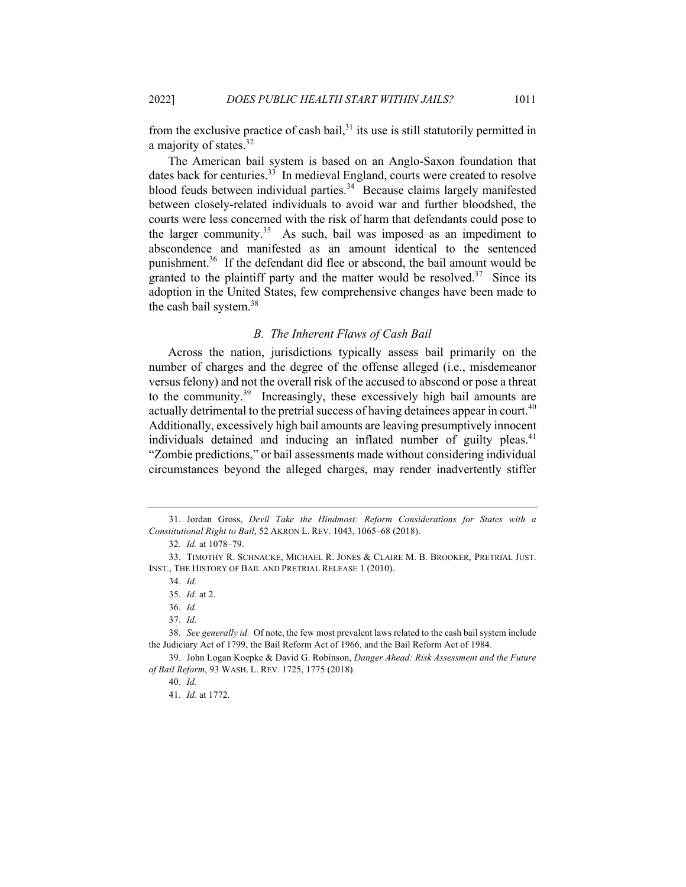from the exclusive practice of cash bail, $31$  its use is still statutorily permitted in a majority of states. $32$ 

The American bail system is based on an Anglo-Saxon foundation that dates back for centuries.<sup>33</sup> In medieval England, courts were created to resolve blood feuds between individual parties.<sup>34</sup> Because claims largely manifested between closely-related individuals to avoid war and further bloodshed, the courts were less concerned with the risk of harm that defendants could pose to the larger community.<sup>35</sup> As such, bail was imposed as an impediment to abscondence and manifested as an amount identical to the sentenced punishment.<sup>36</sup> If the defendant did flee or abscond, the bail amount would be granted to the plaintiff party and the matter would be resolved.<sup>37</sup> Since its adoption in the United States, few comprehensive changes have been made to the cash bail system.<sup>38</sup>

# *B. The Inherent Flaws of Cash Bail*

Across the nation, jurisdictions typically assess bail primarily on the number of charges and the degree of the offense alleged (i.e., misdemeanor versus felony) and not the overall risk of the accused to abscond or pose a threat to the community.<sup>39</sup> Increasingly, these excessively high bail amounts are actually detrimental to the pretrial success of having detainees appear in court.<sup>40</sup> Additionally, excessively high bail amounts are leaving presumptively innocent individuals detained and inducing an inflated number of guilty pleas.<sup>41</sup> "Zombie predictions," or bail assessments made without considering individual circumstances beyond the alleged charges, may render inadvertently stiffer

<sup>31.</sup> Jordan Gross, *Devil Take the Hindmost: Reform Considerations for States with a Constitutional Right to Bail*, 52 AKRON L. REV. 1043, 1065–68 (2018).

<sup>32.</sup> *Id.* at 1078–79.

<sup>33.</sup> TIMOTHY R. SCHNACKE, MICHAEL R. JONES & CLAIRE M. B. BROOKER, PRETRIAL JUST. INST., THE HISTORY OF BAIL AND PRETRIAL RELEASE 1 (2010).

<sup>34.</sup> *Id.*

<sup>35.</sup> *Id.* at 2.

<sup>36.</sup> *Id.*

<sup>37.</sup> *Id.*

<sup>38.</sup> *See generally id.* Of note, the few most prevalent laws related to the cash bail system include the Judiciary Act of 1799, the Bail Reform Act of 1966, and the Bail Reform Act of 1984.

<sup>39.</sup> John Logan Koepke & David G. Robinson, *Danger Ahead: Risk Assessment and the Future of Bail Reform*, 93 WASH. L. REV. 1725, 1775 (2018).

<sup>40.</sup> *Id.*

<sup>41.</sup> *Id.* at 1772.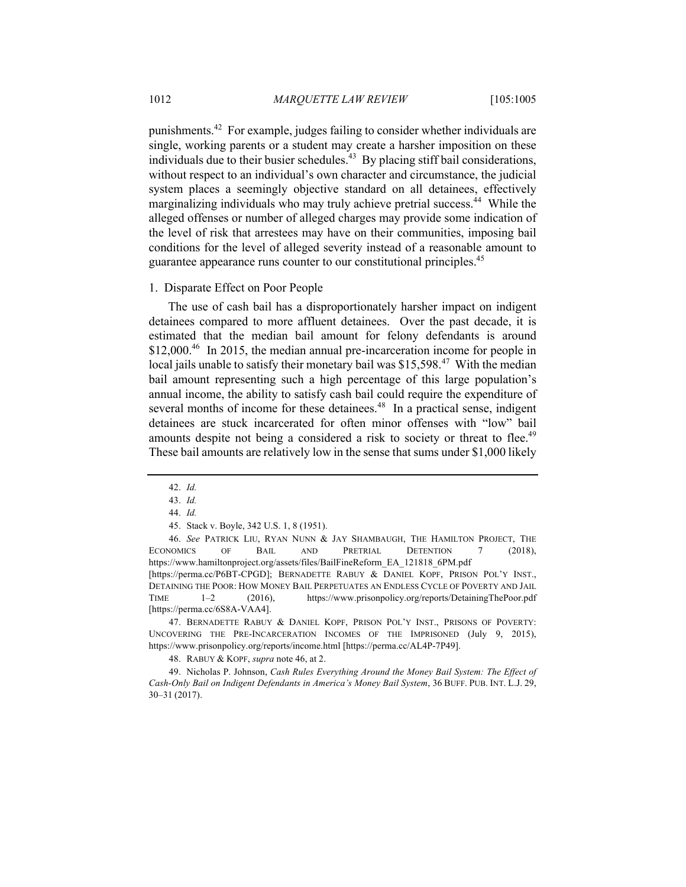punishments.42 For example, judges failing to consider whether individuals are single, working parents or a student may create a harsher imposition on these individuals due to their busier schedules. $^{43}$  By placing stiff bail considerations, without respect to an individual's own character and circumstance, the judicial system places a seemingly objective standard on all detainees, effectively marginalizing individuals who may truly achieve pretrial success.<sup>44</sup> While the alleged offenses or number of alleged charges may provide some indication of the level of risk that arrestees may have on their communities, imposing bail conditions for the level of alleged severity instead of a reasonable amount to guarantee appearance runs counter to our constitutional principles.<sup>45</sup>

#### 1. Disparate Effect on Poor People

The use of cash bail has a disproportionately harsher impact on indigent detainees compared to more affluent detainees. Over the past decade, it is estimated that the median bail amount for felony defendants is around \$12,000.<sup>46</sup> In 2015, the median annual pre-incarceration income for people in local jails unable to satisfy their monetary bail was  $$15,598.<sup>47</sup>$  With the median bail amount representing such a high percentage of this large population's annual income, the ability to satisfy cash bail could require the expenditure of several months of income for these detainees.<sup>48</sup> In a practical sense, indigent detainees are stuck incarcerated for often minor offenses with "low" bail amounts despite not being a considered a risk to society or threat to flee.<sup>49</sup> These bail amounts are relatively low in the sense that sums under \$1,000 likely

47. BERNADETTE RABUY & DANIEL KOPF, PRISON POL'Y INST., PRISONS OF POVERTY: UNCOVERING THE PRE-INCARCERATION INCOMES OF THE IMPRISONED (July 9, 2015), https://www.prisonpolicy.org/reports/income.html [https://perma.cc/AL4P-7P49].

48. RABUY & KOPF, *supra* note 46, at 2.

49. Nicholas P. Johnson, *Cash Rules Everything Around the Money Bail System: The Effect of Cash-Only Bail on Indigent Defendants in America's Money Bail System*, 36 BUFF. PUB. INT. L.J. 29, 30–31 (2017).

<sup>42.</sup> *Id.*

<sup>43.</sup> *Id.*

<sup>44.</sup> *Id.*

<sup>45.</sup> Stack v. Boyle, 342 U.S. 1, 8 (1951).

<sup>46.</sup> *See* PATRICK LIU, RYAN NUNN & JAY SHAMBAUGH, THE HAMILTON PROJECT, THE ECONOMICS OF BAIL AND PRETRIAL DETENTION 7 (2018), https://www.hamiltonproject.org/assets/files/BailFineReform\_EA\_121818\_6PM.pdf

<sup>[</sup>https://perma.cc/P6BT-CPGD]; BERNADETTE RABUY & DANIEL KOPF, PRISON POL'Y INST., DETAINING THE POOR: HOW MONEY BAIL PERPETUATES AN ENDLESS CYCLE OF POVERTY AND JAIL TIME 1–2 (2016), https://www.prisonpolicy.org/reports/DetainingThePoor.pdf [https://perma.cc/6S8A-VAA4].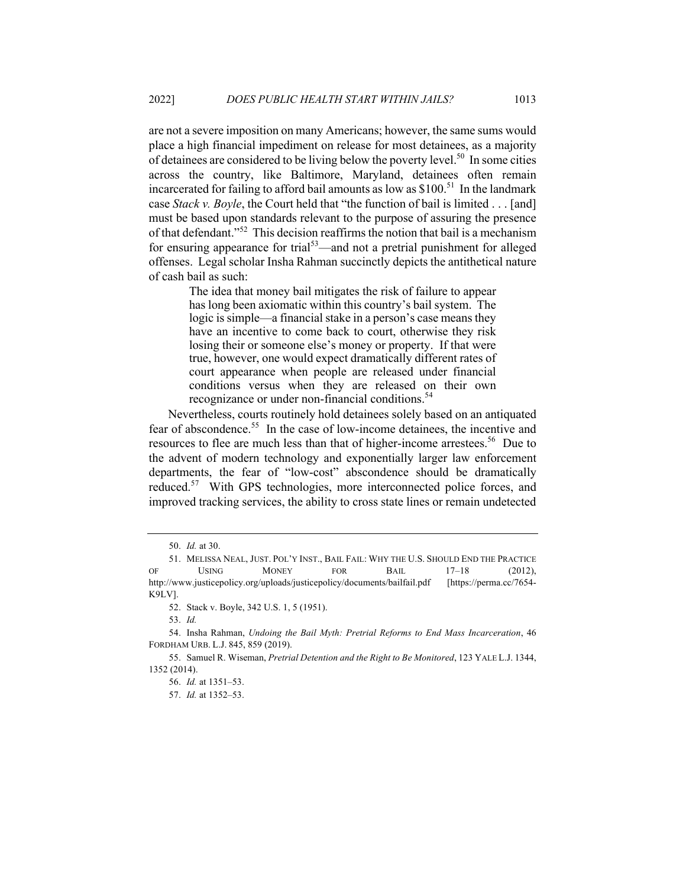are not a severe imposition on many Americans; however, the same sums would place a high financial impediment on release for most detainees, as a majority of detainees are considered to be living below the poverty level.<sup>50</sup> In some cities across the country, like Baltimore, Maryland, detainees often remain incarcerated for failing to afford bail amounts as low as  $$100.<sup>51</sup>$  In the landmark case *Stack v. Boyle*, the Court held that "the function of bail is limited . . . [and] must be based upon standards relevant to the purpose of assuring the presence of that defendant."<sup>52</sup> This decision reaffirms the notion that bail is a mechanism for ensuring appearance for trial<sup>53</sup>—and not a pretrial punishment for alleged offenses. Legal scholar Insha Rahman succinctly depicts the antithetical nature of cash bail as such:

> The idea that money bail mitigates the risk of failure to appear has long been axiomatic within this country's bail system. The logic is simple—a financial stake in a person's case means they have an incentive to come back to court, otherwise they risk losing their or someone else's money or property. If that were true, however, one would expect dramatically different rates of court appearance when people are released under financial conditions versus when they are released on their own recognizance or under non-financial conditions.<sup>54</sup>

Nevertheless, courts routinely hold detainees solely based on an antiquated fear of abscondence.<sup>55</sup> In the case of low-income detainees, the incentive and resources to flee are much less than that of higher-income arrestees.<sup>56</sup> Due to the advent of modern technology and exponentially larger law enforcement departments, the fear of "low-cost" abscondence should be dramatically reduced.<sup>57</sup> With GPS technologies, more interconnected police forces, and improved tracking services, the ability to cross state lines or remain undetected

52. Stack v. Boyle, 342 U.S. 1, 5 (1951).

53. *Id.*

<sup>50.</sup> *Id.* at 30.

<sup>51.</sup> MELISSA NEAL, JUST. POL'Y INST., BAIL FAIL: WHY THE U.S. SHOULD END THE PRACTICE OF USING MONEY FOR BAIL 17–18 (2012), http://www.justicepolicy.org/uploads/justicepolicy/documents/bailfail.pdf [https://perma.cc/7654- K9LV].

<sup>54.</sup> Insha Rahman, *Undoing the Bail Myth: Pretrial Reforms to End Mass Incarceration*, 46 FORDHAM URB. L.J. 845, 859 (2019).

<sup>55.</sup> Samuel R. Wiseman, *Pretrial Detention and the Right to Be Monitored*, 123 YALE L.J. 1344, 1352 (2014).

<sup>56.</sup> *Id.* at 1351–53.

<sup>57.</sup> *Id.* at 1352–53.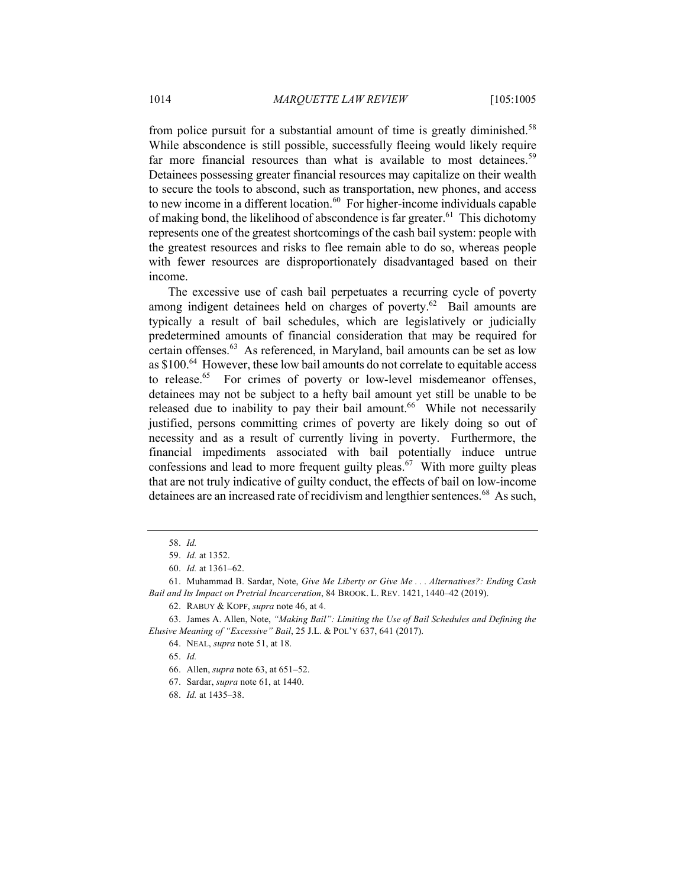from police pursuit for a substantial amount of time is greatly diminished.<sup>58</sup> While abscondence is still possible, successfully fleeing would likely require far more financial resources than what is available to most detainees.<sup>59</sup> Detainees possessing greater financial resources may capitalize on their wealth to secure the tools to abscond, such as transportation, new phones, and access to new income in a different location. $60$  For higher-income individuals capable of making bond, the likelihood of abscondence is far greater.<sup>61</sup> This dichotomy represents one of the greatest shortcomings of the cash bail system: people with the greatest resources and risks to flee remain able to do so, whereas people with fewer resources are disproportionately disadvantaged based on their income.

The excessive use of cash bail perpetuates a recurring cycle of poverty among indigent detainees held on charges of poverty.<sup>62</sup> Bail amounts are typically a result of bail schedules, which are legislatively or judicially predetermined amounts of financial consideration that may be required for certain offenses.<sup>63</sup> As referenced, in Maryland, bail amounts can be set as low as \$100.<sup>64</sup> However, these low bail amounts do not correlate to equitable access to release.<sup>65</sup> For crimes of poverty or low-level misdemeanor offenses, detainees may not be subject to a hefty bail amount yet still be unable to be released due to inability to pay their bail amount.<sup>66</sup> While not necessarily justified, persons committing crimes of poverty are likely doing so out of necessity and as a result of currently living in poverty. Furthermore, the financial impediments associated with bail potentially induce untrue confessions and lead to more frequent guilty pleas.<sup>67</sup> With more guilty pleas that are not truly indicative of guilty conduct, the effects of bail on low-income detainees are an increased rate of recidivism and lengthier sentences. <sup>68</sup> As such,

65. *Id.*

<sup>58.</sup> *Id.*

<sup>59.</sup> *Id.* at 1352.

<sup>60.</sup> *Id.* at 1361–62.

<sup>61.</sup> Muhammad B. Sardar, Note, *Give Me Liberty or Give Me . . . Alternatives?: Ending Cash Bail and Its Impact on Pretrial Incarceration*, 84 BROOK. L. REV. 1421, 1440–42 (2019).

<sup>62.</sup> RABUY & KOPF, *supra* note 46, at 4.

<sup>63.</sup> James A. Allen, Note, *"Making Bail": Limiting the Use of Bail Schedules and Defining the Elusive Meaning of "Excessive" Bail*, 25 J.L. & POL'Y 637, 641 (2017).

<sup>64.</sup> NEAL, *supra* note 51, at 18.

<sup>66.</sup> Allen, *supra* note 63, at 651–52.

<sup>67.</sup> Sardar, *supra* note 61, at 1440.

<sup>68.</sup> *Id.* at 1435–38.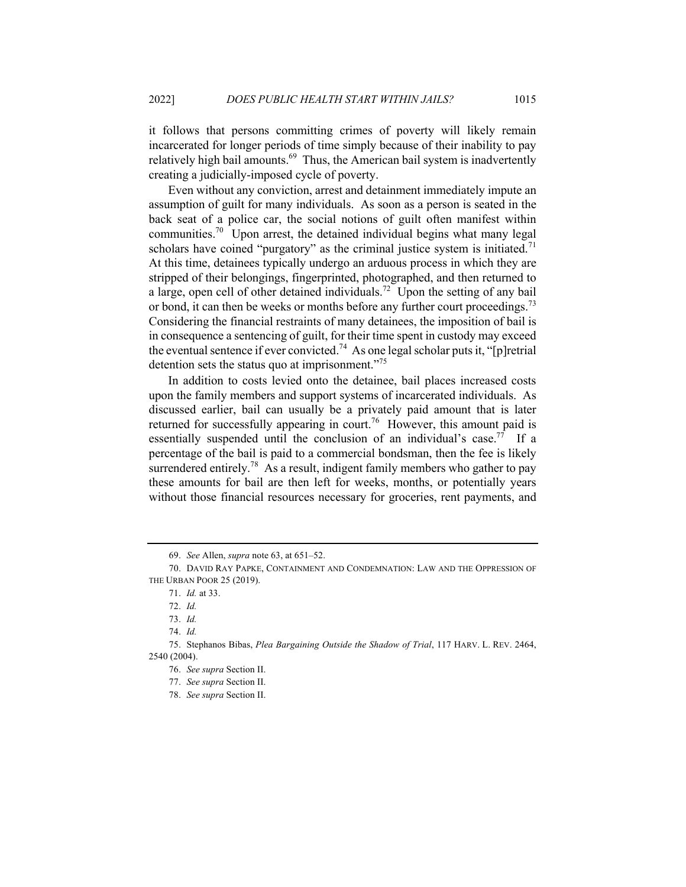it follows that persons committing crimes of poverty will likely remain incarcerated for longer periods of time simply because of their inability to pay relatively high bail amounts.<sup>69</sup> Thus, the American bail system is inadvertently creating a judicially-imposed cycle of poverty.

Even without any conviction, arrest and detainment immediately impute an assumption of guilt for many individuals. As soon as a person is seated in the back seat of a police car, the social notions of guilt often manifest within communities.<sup>70</sup> Upon arrest, the detained individual begins what many legal scholars have coined "purgatory" as the criminal justice system is initiated.<sup>71</sup> At this time, detainees typically undergo an arduous process in which they are stripped of their belongings, fingerprinted, photographed, and then returned to a large, open cell of other detained individuals.<sup>72</sup> Upon the setting of any bail or bond, it can then be weeks or months before any further court proceedings.<sup>73</sup> Considering the financial restraints of many detainees, the imposition of bail is in consequence a sentencing of guilt, for their time spent in custody may exceed the eventual sentence if ever convicted.<sup>74</sup> As one legal scholar puts it, "[p] retrial detention sets the status quo at imprisonment."<sup>75</sup>

In addition to costs levied onto the detainee, bail places increased costs upon the family members and support systems of incarcerated individuals. As discussed earlier, bail can usually be a privately paid amount that is later returned for successfully appearing in court.<sup>76</sup> However, this amount paid is essentially suspended until the conclusion of an individual's case.<sup>77</sup> If a percentage of the bail is paid to a commercial bondsman, then the fee is likely surrendered entirely.<sup>78</sup> As a result, indigent family members who gather to pay these amounts for bail are then left for weeks, months, or potentially years without those financial resources necessary for groceries, rent payments, and

<sup>69.</sup> *See* Allen, *supra* note 63, at 651–52.

<sup>70.</sup> DAVID RAY PAPKE, CONTAINMENT AND CONDEMNATION: LAW AND THE OPPRESSION OF THE URBAN POOR 25 (2019).

<sup>71.</sup> *Id.* at 33.

<sup>72.</sup> *Id.*

<sup>73.</sup> *Id.*

<sup>74.</sup> *Id.*

<sup>75.</sup> Stephanos Bibas, *Plea Bargaining Outside the Shadow of Trial*, 117 HARV. L. REV. 2464, 2540 (2004).

<sup>76.</sup> *See supra* Section II.

<sup>77.</sup> *See supra* Section II.

<sup>78.</sup> *See supra* Section II.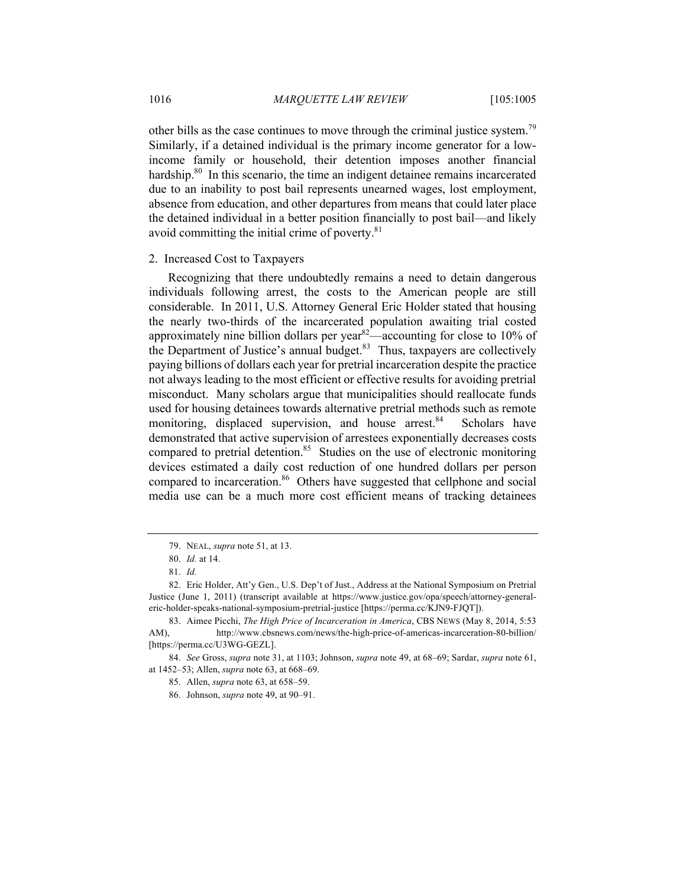other bills as the case continues to move through the criminal justice system.<sup>79</sup> Similarly, if a detained individual is the primary income generator for a lowincome family or household, their detention imposes another financial hardship.<sup>80</sup> In this scenario, the time an indigent detainee remains incarcerated due to an inability to post bail represents unearned wages, lost employment, absence from education, and other departures from means that could later place the detained individual in a better position financially to post bail—and likely avoid committing the initial crime of poverty. $81$ 

#### 2. Increased Cost to Taxpayers

Recognizing that there undoubtedly remains a need to detain dangerous individuals following arrest, the costs to the American people are still considerable. In 2011, U.S. Attorney General Eric Holder stated that housing the nearly two-thirds of the incarcerated population awaiting trial costed approximately nine billion dollars per year<sup>82</sup>—accounting for close to 10% of the Department of Justice's annual budget. $83$  Thus, taxpayers are collectively paying billions of dollars each year for pretrial incarceration despite the practice not always leading to the most efficient or effective results for avoiding pretrial misconduct. Many scholars argue that municipalities should reallocate funds used for housing detainees towards alternative pretrial methods such as remote monitoring, displaced supervision, and house arrest.<sup>84</sup> Scholars have demonstrated that active supervision of arrestees exponentially decreases costs compared to pretrial detention.<sup>85</sup> Studies on the use of electronic monitoring devices estimated a daily cost reduction of one hundred dollars per person compared to incarceration.<sup>86</sup> Others have suggested that cellphone and social media use can be a much more cost efficient means of tracking detainees

<sup>79.</sup> NEAL, *supra* note 51, at 13.

<sup>80.</sup> *Id.* at 14.

<sup>81.</sup> *Id.*

<sup>82.</sup> Eric Holder, Att'y Gen., U.S. Dep't of Just., Address at the National Symposium on Pretrial Justice (June 1, 2011) (transcript available at https://www.justice.gov/opa/speech/attorney-generaleric-holder-speaks-national-symposium-pretrial-justice [https://perma.cc/KJN9-FJQT]).

<sup>83.</sup> Aimee Picchi, *The High Price of Incarceration in America*, CBS NEWS (May 8, 2014, 5:53 AM), http://www.cbsnews.com/news/the-high-price-of-americas-incarceration-80-billion/ [https://perma.cc/U3WG-GEZL].

<sup>84.</sup> *See* Gross, *supra* note 31, at 1103; Johnson, *supra* note 49, at 68–69; Sardar, *supra* note 61, at 1452–53; Allen, *supra* note 63, at 668–69.

<sup>85.</sup> Allen, *supra* note 63, at 658–59.

<sup>86.</sup> Johnson, *supra* note 49, at 90–91.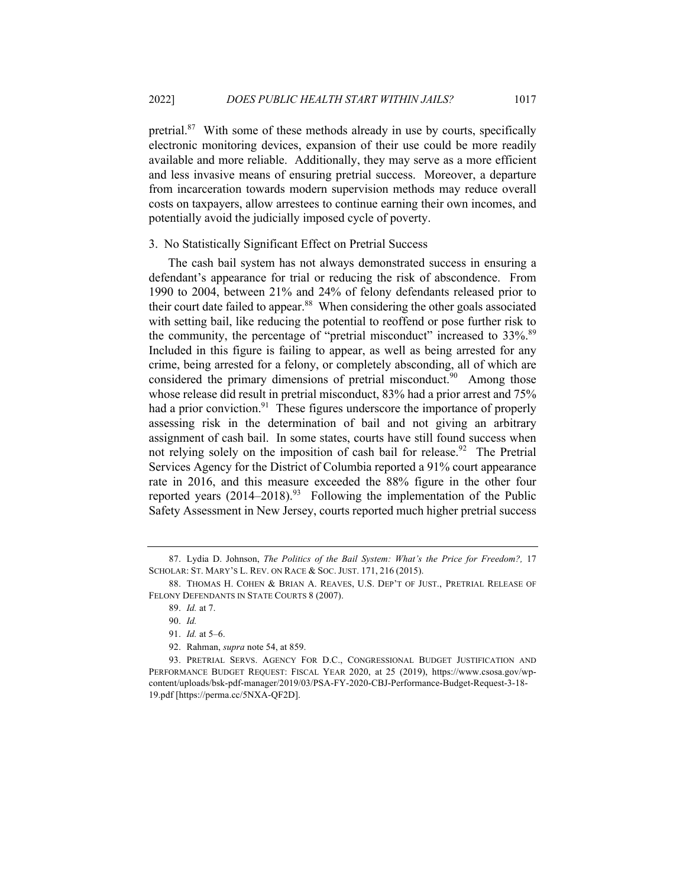pretrial.<sup>87</sup> With some of these methods already in use by courts, specifically electronic monitoring devices, expansion of their use could be more readily available and more reliable. Additionally, they may serve as a more efficient and less invasive means of ensuring pretrial success. Moreover, a departure from incarceration towards modern supervision methods may reduce overall costs on taxpayers, allow arrestees to continue earning their own incomes, and potentially avoid the judicially imposed cycle of poverty.

#### 3. No Statistically Significant Effect on Pretrial Success

The cash bail system has not always demonstrated success in ensuring a defendant's appearance for trial or reducing the risk of abscondence. From 1990 to 2004, between 21% and 24% of felony defendants released prior to their court date failed to appear.<sup>88</sup> When considering the other goals associated with setting bail, like reducing the potential to reoffend or pose further risk to the community, the percentage of "pretrial misconduct" increased to 33%.<sup>89</sup> Included in this figure is failing to appear, as well as being arrested for any crime, being arrested for a felony, or completely absconding, all of which are considered the primary dimensions of pretrial misconduct.<sup>90</sup> Among those whose release did result in pretrial misconduct, 83% had a prior arrest and 75% had a prior conviction. $91$  These figures underscore the importance of properly assessing risk in the determination of bail and not giving an arbitrary assignment of cash bail. In some states, courts have still found success when not relying solely on the imposition of cash bail for release.<sup>92</sup> The Pretrial Services Agency for the District of Columbia reported a 91% court appearance rate in 2016, and this measure exceeded the 88% figure in the other four reported years  $(2014-2018)^{93}$  Following the implementation of the Public Safety Assessment in New Jersey, courts reported much higher pretrial success

<sup>87.</sup> Lydia D. Johnson, *The Politics of the Bail System: What's the Price for Freedom?,* 17 SCHOLAR: ST. MARY'S L. REV. ON RACE & SOC. JUST. 171, 216 (2015).

<sup>88.</sup> THOMAS H. COHEN & BRIAN A. REAVES, U.S. DEP'T OF JUST., PRETRIAL RELEASE OF FELONY DEFENDANTS IN STATE COURTS 8 (2007).

<sup>89.</sup> *Id.* at 7.

<sup>90.</sup> *Id.*

<sup>91.</sup> *Id.* at 5–6.

<sup>92.</sup> Rahman, *supra* note 54, at 859.

<sup>93.</sup> PRETRIAL SERVS. AGENCY FOR D.C., CONGRESSIONAL BUDGET JUSTIFICATION AND PERFORMANCE BUDGET REQUEST: FISCAL YEAR 2020, at 25 (2019), https://www.csosa.gov/wpcontent/uploads/bsk-pdf-manager/2019/03/PSA-FY-2020-CBJ-Performance-Budget-Request-3-18- 19.pdf [https://perma.cc/5NXA-QF2D].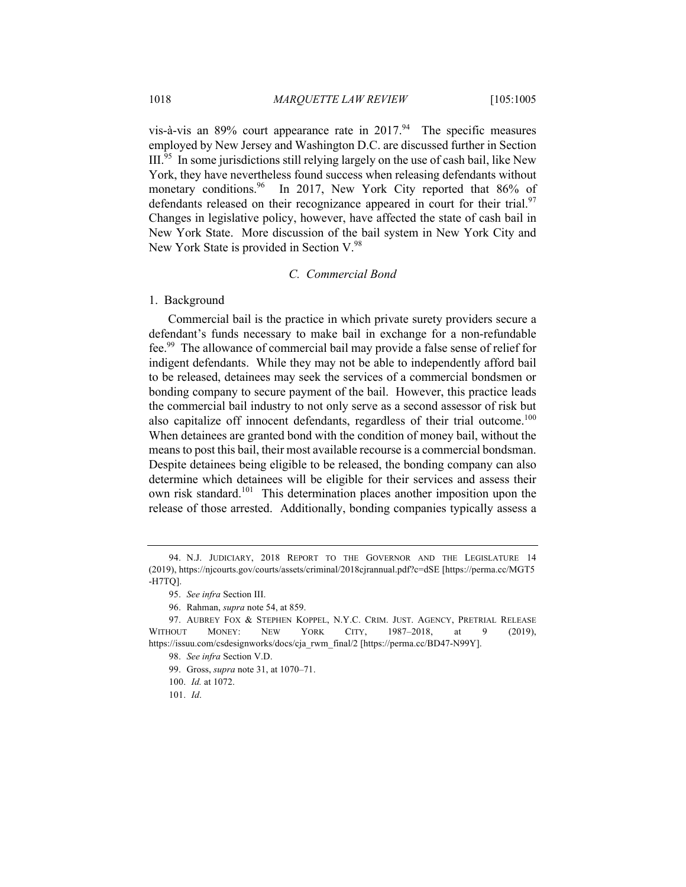vis-à-vis an 89% court appearance rate in  $2017^{94}$  The specific measures employed by New Jersey and Washington D.C. are discussed further in Section  $III<sup>95</sup>$  In some jurisdictions still relying largely on the use of cash bail, like New York, they have nevertheless found success when releasing defendants without monetary conditions.<sup>96</sup> In 2017, New York City reported that 86% of defendants released on their recognizance appeared in court for their trial.<sup>97</sup> Changes in legislative policy, however, have affected the state of cash bail in New York State. More discussion of the bail system in New York City and New York State is provided in Section V.<sup>98</sup>

# *C. Commercial Bond*

#### 1. Background

Commercial bail is the practice in which private surety providers secure a defendant's funds necessary to make bail in exchange for a non-refundable fee.99 The allowance of commercial bail may provide a false sense of relief for indigent defendants. While they may not be able to independently afford bail to be released, detainees may seek the services of a commercial bondsmen or bonding company to secure payment of the bail. However, this practice leads the commercial bail industry to not only serve as a second assessor of risk but also capitalize off innocent defendants, regardless of their trial outcome.<sup>100</sup> When detainees are granted bond with the condition of money bail, without the means to post this bail, their most available recourse is a commercial bondsman. Despite detainees being eligible to be released, the bonding company can also determine which detainees will be eligible for their services and assess their own risk standard.<sup>101</sup> This determination places another imposition upon the release of those arrested. Additionally, bonding companies typically assess a

<sup>94.</sup> N.J. JUDICIARY, 2018 REPORT TO THE GOVERNOR AND THE LEGISLATURE 14 (2019), https://njcourts.gov/courts/assets/criminal/2018cjrannual.pdf?c=dSE [https://perma.cc/MGT5 -H7TQ].

<sup>95.</sup> *See infra* Section III.

<sup>96.</sup> Rahman, *supra* note 54, at 859.

<sup>97.</sup> AUBREY FOX & STEPHEN KOPPEL, N.Y.C. CRIM. JUST. AGENCY, PRETRIAL RELEASE WITHOUT MONEY: NEW YORK CITY, 1987–2018, at 9 (2019), https://issuu.com/csdesignworks/docs/cja\_rwm\_final/2 [https://perma.cc/BD47-N99Y].

<sup>98.</sup> *See infra* Section V.D.

<sup>99.</sup> Gross, *supra* note 31, at 1070–71.

<sup>100.</sup> *Id.* at 1072.

<sup>101.</sup> *Id*.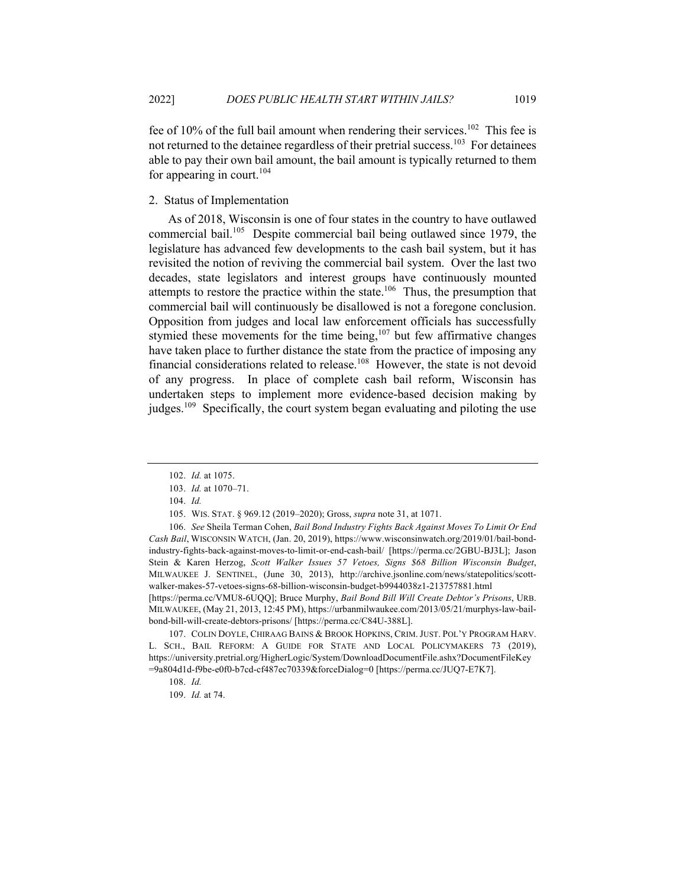fee of 10% of the full bail amount when rendering their services.<sup>102</sup> This fee is not returned to the detainee regardless of their pretrial success.<sup>103</sup> For detainees able to pay their own bail amount, the bail amount is typically returned to them for appearing in court.<sup>104</sup>

# 2. Status of Implementation

As of 2018, Wisconsin is one of four states in the country to have outlawed commercial bail.<sup>105</sup> Despite commercial bail being outlawed since 1979, the legislature has advanced few developments to the cash bail system, but it has revisited the notion of reviving the commercial bail system. Over the last two decades, state legislators and interest groups have continuously mounted attempts to restore the practice within the state.<sup>106</sup> Thus, the presumption that commercial bail will continuously be disallowed is not a foregone conclusion. Opposition from judges and local law enforcement officials has successfully stymied these movements for the time being, $107$  but few affirmative changes have taken place to further distance the state from the practice of imposing any financial considerations related to release.<sup>108</sup> However, the state is not devoid of any progress. In place of complete cash bail reform, Wisconsin has undertaken steps to implement more evidence-based decision making by judges.<sup>109</sup> Specifically, the court system began evaluating and piloting the use

[https://perma.cc/VMU8-6UQQ]; Bruce Murphy, *Bail Bond Bill Will Create Debtor's Prisons*, URB. MILWAUKEE, (May 21, 2013, 12:45 PM), https://urbanmilwaukee.com/2013/05/21/murphys-law-bailbond-bill-will-create-debtors-prisons/ [https://perma.cc/C84U-388L].

107. COLIN DOYLE, CHIRAAG BAINS & BROOK HOPKINS, CRIM. JUST. POL'Y PROGRAM HARV. L. SCH., BAIL REFORM: A GUIDE FOR STATE AND LOCAL POLICYMAKERS 73 (2019), https://university.pretrial.org/HigherLogic/System/DownloadDocumentFile.ashx?DocumentFileKey =9a804d1d-f9be-e0f0-b7cd-cf487ec70339&forceDialog=0 [https://perma.cc/JUQ7-E7K7].

<sup>102.</sup> *Id.* at 1075.

<sup>103.</sup> *Id.* at 1070–71.

<sup>104.</sup> *Id.*

<sup>105.</sup> WIS. STAT. § 969.12 (2019–2020); Gross, *supra* note 31, at 1071.

<sup>106.</sup> *See* Sheila Terman Cohen, *Bail Bond Industry Fights Back Against Moves To Limit Or End Cash Bail*, WISCONSIN WATCH, (Jan. 20, 2019), https://www.wisconsinwatch.org/2019/01/bail-bondindustry-fights-back-against-moves-to-limit-or-end-cash-bail/ [https://perma.cc/2GBU-BJ3L]; Jason Stein & Karen Herzog, *Scott Walker Issues 57 Vetoes, Signs \$68 Billion Wisconsin Budget*, MILWAUKEE J. SENTINEL, (June 30, 2013), http://archive.jsonline.com/news/statepolitics/scottwalker-makes-57-vetoes-signs-68-billion-wisconsin-budget-b9944038z1-213757881.html

<sup>108.</sup> *Id.*

<sup>109.</sup> *Id.* at 74.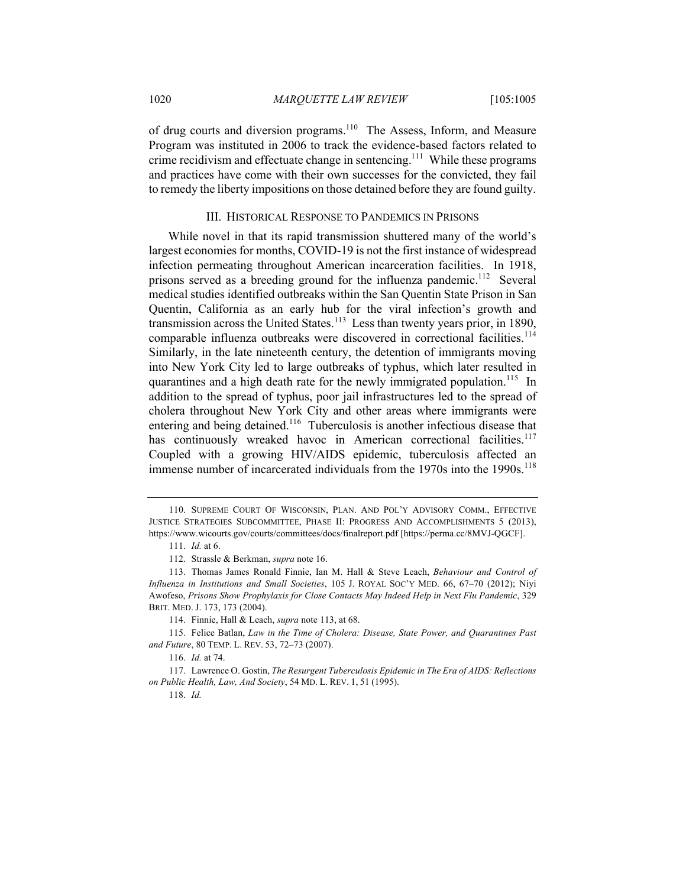of drug courts and diversion programs.<sup>110</sup> The Assess, Inform, and Measure Program was instituted in 2006 to track the evidence-based factors related to crime recidivism and effectuate change in sentencing.<sup>111</sup> While these programs and practices have come with their own successes for the convicted, they fail to remedy the liberty impositions on those detained before they are found guilty.

#### III. HISTORICAL RESPONSE TO PANDEMICS IN PRISONS

While novel in that its rapid transmission shuttered many of the world's largest economies for months, COVID-19 is not the first instance of widespread infection permeating throughout American incarceration facilities. In 1918, prisons served as a breeding ground for the influenza pandemic.<sup>112</sup> Several medical studies identified outbreaks within the San Quentin State Prison in San Quentin, California as an early hub for the viral infection's growth and transmission across the United States.<sup>113</sup> Less than twenty years prior, in 1890, comparable influenza outbreaks were discovered in correctional facilities.<sup>114</sup> Similarly, in the late nineteenth century, the detention of immigrants moving into New York City led to large outbreaks of typhus, which later resulted in quarantines and a high death rate for the newly immigrated population.<sup>115</sup> In addition to the spread of typhus, poor jail infrastructures led to the spread of cholera throughout New York City and other areas where immigrants were entering and being detained.<sup>116</sup> Tuberculosis is another infectious disease that has continuously wreaked havoc in American correctional facilities.<sup>117</sup> Coupled with a growing HIV/AIDS epidemic, tuberculosis affected an immense number of incarcerated individuals from the 1970s into the 1990s.<sup>118</sup>

<sup>110.</sup> SUPREME COURT OF WISCONSIN, PLAN. AND POL'Y ADVISORY COMM., EFFECTIVE JUSTICE STRATEGIES SUBCOMMITTEE, PHASE II: PROGRESS AND ACCOMPLISHMENTS 5 (2013), https://www.wicourts.gov/courts/committees/docs/finalreport.pdf [https://perma.cc/8MVJ-QGCF].

<sup>111.</sup> *Id.* at 6.

<sup>112.</sup> Strassle & Berkman, *supra* note 16.

<sup>113.</sup> Thomas James Ronald Finnie, Ian M. Hall & Steve Leach, *Behaviour and Control of Influenza in Institutions and Small Societies*, 105 J. ROYAL SOC'Y MED. 66, 67–70 (2012); Niyi Awofeso, *Prisons Show Prophylaxis for Close Contacts May Indeed Help in Next Flu Pandemic*, 329 BRIT. MED. J. 173, 173 (2004).

<sup>114.</sup> Finnie, Hall & Leach, *supra* note 113, at 68.

<sup>115.</sup> Felice Batlan, *Law in the Time of Cholera: Disease, State Power, and Quarantines Past and Future*, 80 TEMP. L. REV. 53, 72–73 (2007).

<sup>116.</sup> *Id.* at 74.

<sup>117.</sup> Lawrence O. Gostin, *The Resurgent Tuberculosis Epidemic in The Era of AIDS: Reflections on Public Health, Law, And Society*, 54 MD. L. REV. 1, 51 (1995).

<sup>118.</sup> *Id.*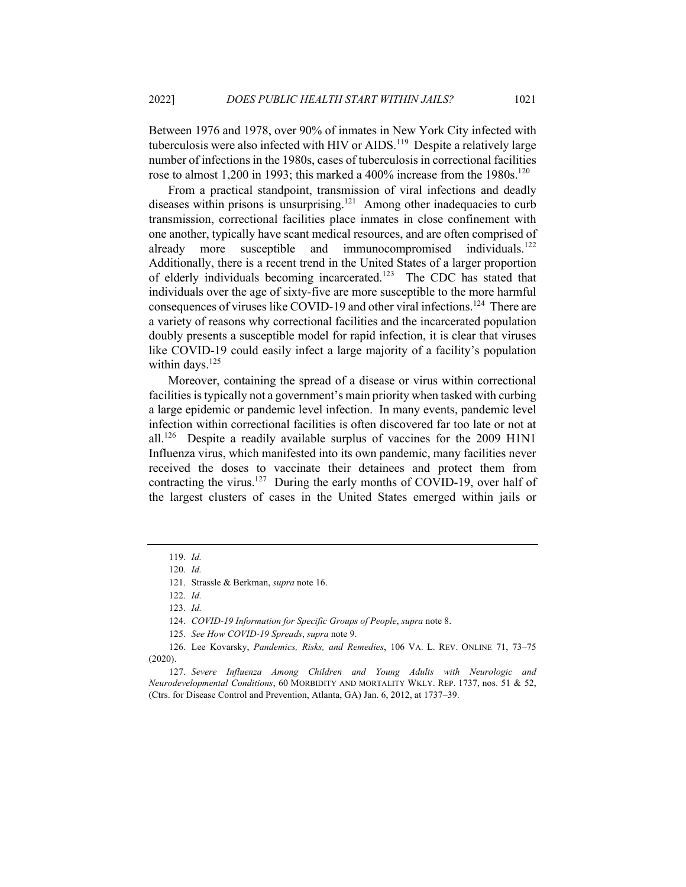Between 1976 and 1978, over 90% of inmates in New York City infected with tuberculosis were also infected with HIV or AIDS.<sup>119</sup> Despite a relatively large number of infections in the 1980s, cases of tuberculosis in correctional facilities rose to almost 1,200 in 1993; this marked a 400% increase from the 1980s.<sup>120</sup>

From a practical standpoint, transmission of viral infections and deadly diseases within prisons is unsurprising.<sup>121</sup> Among other inadequacies to curb transmission, correctional facilities place inmates in close confinement with one another, typically have scant medical resources, and are often comprised of already more susceptible and immunocompromised individuals.<sup>122</sup> Additionally, there is a recent trend in the United States of a larger proportion of elderly individuals becoming incarcerated.<sup>123</sup> The CDC has stated that individuals over the age of sixty-five are more susceptible to the more harmful consequences of viruses like COVID-19 and other viral infections.<sup>124</sup> There are a variety of reasons why correctional facilities and the incarcerated population doubly presents a susceptible model for rapid infection, it is clear that viruses like COVID-19 could easily infect a large majority of a facility's population within days. $125$ 

Moreover, containing the spread of a disease or virus within correctional facilities istypically not a government's main priority when tasked with curbing a large epidemic or pandemic level infection. In many events, pandemic level infection within correctional facilities is often discovered far too late or not at all.<sup>126</sup> Despite a readily available surplus of vaccines for the 2009 H1N1 Influenza virus, which manifested into its own pandemic, many facilities never received the doses to vaccinate their detainees and protect them from contracting the virus.<sup>127</sup> During the early months of COVID-19, over half of the largest clusters of cases in the United States emerged within jails or

<sup>119.</sup> *Id.*

<sup>120.</sup> *Id.*

<sup>121.</sup> Strassle & Berkman, *supra* note 16.

<sup>122.</sup> *Id.*

<sup>123.</sup> *Id.*

<sup>124.</sup> *COVID-19 Information for Specific Groups of People*, *supra* note 8.

<sup>125.</sup> *See How COVID-19 Spreads*, *supra* note 9.

<sup>126.</sup> Lee Kovarsky, *Pandemics, Risks, and Remedies*, 106 VA. L. REV. ONLINE 71, 73–75 (2020).

<sup>127.</sup> *Severe Influenza Among Children and Young Adults with Neurologic and Neurodevelopmental Conditions*, 60 MORBIDITY AND MORTALITY WKLY. REP. 1737, nos. 51 & 52, (Ctrs. for Disease Control and Prevention, Atlanta, GA) Jan. 6, 2012, at 1737–39.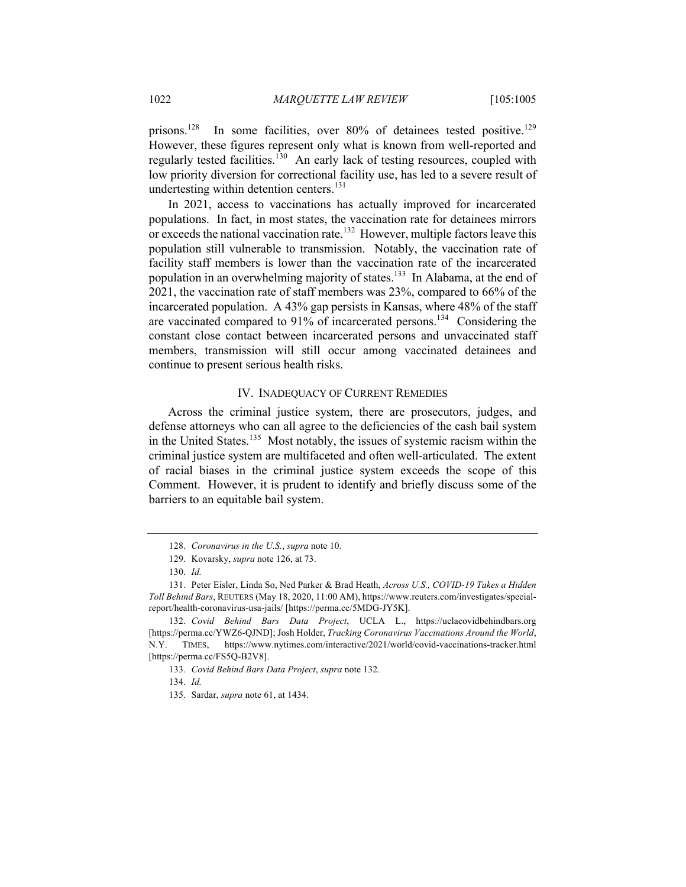prisons.<sup>128</sup> In some facilities, over 80% of detainees tested positive.<sup>129</sup> However, these figures represent only what is known from well-reported and regularly tested facilities.<sup>130</sup> An early lack of testing resources, coupled with low priority diversion for correctional facility use, has led to a severe result of undertesting within detention centers.<sup>131</sup>

In 2021, access to vaccinations has actually improved for incarcerated populations. In fact, in most states, the vaccination rate for detainees mirrors or exceeds the national vaccination rate.<sup>132</sup> However, multiple factors leave this population still vulnerable to transmission. Notably, the vaccination rate of facility staff members is lower than the vaccination rate of the incarcerated population in an overwhelming majority of states.<sup>133</sup> In Alabama, at the end of 2021, the vaccination rate of staff members was 23%, compared to 66% of the incarcerated population. A 43% gap persists in Kansas, where 48% of the staff are vaccinated compared to 91% of incarcerated persons.<sup>134</sup> Considering the constant close contact between incarcerated persons and unvaccinated staff members, transmission will still occur among vaccinated detainees and continue to present serious health risks.

#### IV. INADEQUACY OF CURRENT REMEDIES

Across the criminal justice system, there are prosecutors, judges, and defense attorneys who can all agree to the deficiencies of the cash bail system in the United States.<sup>135</sup> Most notably, the issues of systemic racism within the criminal justice system are multifaceted and often well-articulated. The extent of racial biases in the criminal justice system exceeds the scope of this Comment. However, it is prudent to identify and briefly discuss some of the barriers to an equitable bail system.

<sup>128.</sup> *Coronavirus in the U.S.*, *supra* note 10.

<sup>129.</sup> Kovarsky, *supra* note 126, at 73.

<sup>130.</sup> *Id.*

<sup>131.</sup> Peter Eisler, Linda So, Ned Parker & Brad Heath, *Across U.S., COVID-19 Takes a Hidden Toll Behind Bars*, REUTERS (May 18, 2020, 11:00 AM), https://www.reuters.com/investigates/specialreport/health-coronavirus-usa-jails/ [https://perma.cc/5MDG-JY5K].

<sup>132.</sup> *Covid Behind Bars Data Project*, UCLA L., https://uclacovidbehindbars.org [https://perma.cc/YWZ6-QJND]; Josh Holder, *Tracking Coronavirus Vaccinations Around the World*, N.Y. TIMES, https://www.nytimes.com/interactive/2021/world/covid-vaccinations-tracker.html [https://perma.cc/FS5Q-B2V8].

<sup>133.</sup> *Covid Behind Bars Data Project*, *supra* note 132.

<sup>134.</sup> *Id.*

<sup>135.</sup> Sardar, *supra* note 61, at 1434.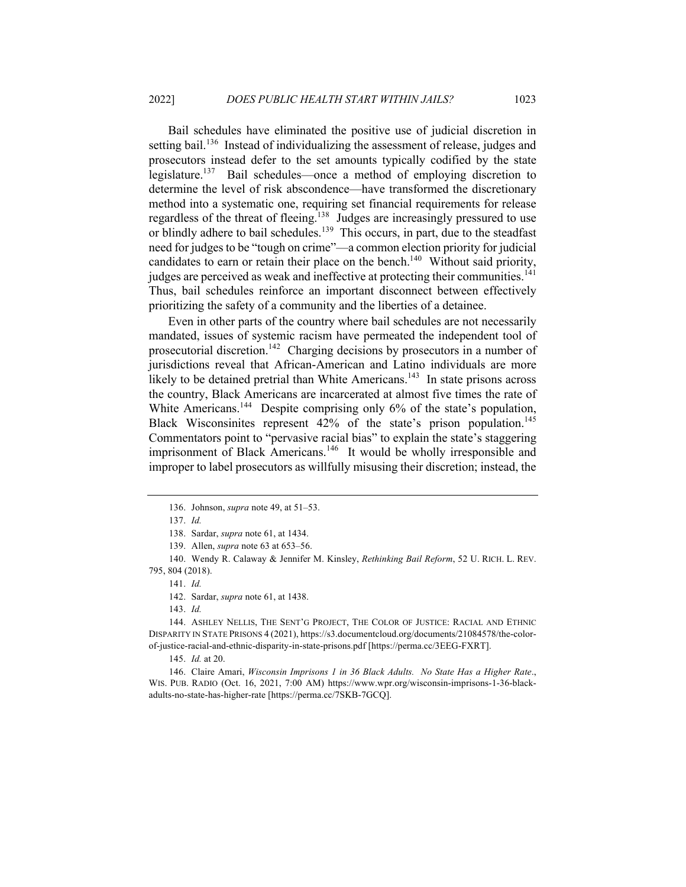Bail schedules have eliminated the positive use of judicial discretion in setting bail.<sup>136</sup> Instead of individualizing the assessment of release, judges and prosecutors instead defer to the set amounts typically codified by the state legislature.<sup>137</sup> Bail schedules—once a method of employing discretion to determine the level of risk abscondence—have transformed the discretionary method into a systematic one, requiring set financial requirements for release regardless of the threat of fleeing.<sup>138</sup> Judges are increasingly pressured to use or blindly adhere to bail schedules.<sup>139</sup> This occurs, in part, due to the steadfast need for judges to be "tough on crime"—a common election priority for judicial candidates to earn or retain their place on the bench.<sup>140</sup> Without said priority, judges are perceived as weak and ineffective at protecting their communities.<sup>141</sup> Thus, bail schedules reinforce an important disconnect between effectively prioritizing the safety of a community and the liberties of a detainee.

Even in other parts of the country where bail schedules are not necessarily mandated, issues of systemic racism have permeated the independent tool of prosecutorial discretion.<sup>142</sup> Charging decisions by prosecutors in a number of jurisdictions reveal that African-American and Latino individuals are more likely to be detained pretrial than White Americans.<sup>143</sup> In state prisons across the country, Black Americans are incarcerated at almost five times the rate of White Americans.<sup>144</sup> Despite comprising only 6% of the state's population, Black Wisconsinites represent 42% of the state's prison population.<sup>145</sup> Commentators point to "pervasive racial bias" to explain the state's staggering imprisonment of Black Americans.<sup>146</sup> It would be wholly irresponsible and improper to label prosecutors as willfully misusing their discretion; instead, the

143. *Id.*

144. ASHLEY NELLIS, THE SENT'G PROJECT, THE COLOR OF JUSTICE: RACIAL AND ETHNIC DISPARITY IN STATE PRISONS 4 (2021), https://s3.documentcloud.org/documents/21084578/the-colorof-justice-racial-and-ethnic-disparity-in-state-prisons.pdf [https://perma.cc/3EEG-FXRT].

145. *Id.* at 20.

146. Claire Amari, *Wisconsin Imprisons 1 in 36 Black Adults. No State Has a Higher Rate*., WIS. PUB. RADIO (Oct. 16, 2021, 7:00 AM) https://www.wpr.org/wisconsin-imprisons-1-36-blackadults-no-state-has-higher-rate [https://perma.cc/7SKB-7GCQ].

<sup>136.</sup> Johnson, *supra* note 49, at 51–53.

<sup>137.</sup> *Id.*

<sup>138.</sup> Sardar, *supra* note 61, at 1434.

<sup>139.</sup> Allen, *supra* note 63 at 653–56.

<sup>140.</sup> Wendy R. Calaway & Jennifer M. Kinsley, *Rethinking Bail Reform*, 52 U. RICH. L. REV. 795, 804 (2018).

<sup>141.</sup> *Id.*

<sup>142.</sup> Sardar, *supra* note 61, at 1438.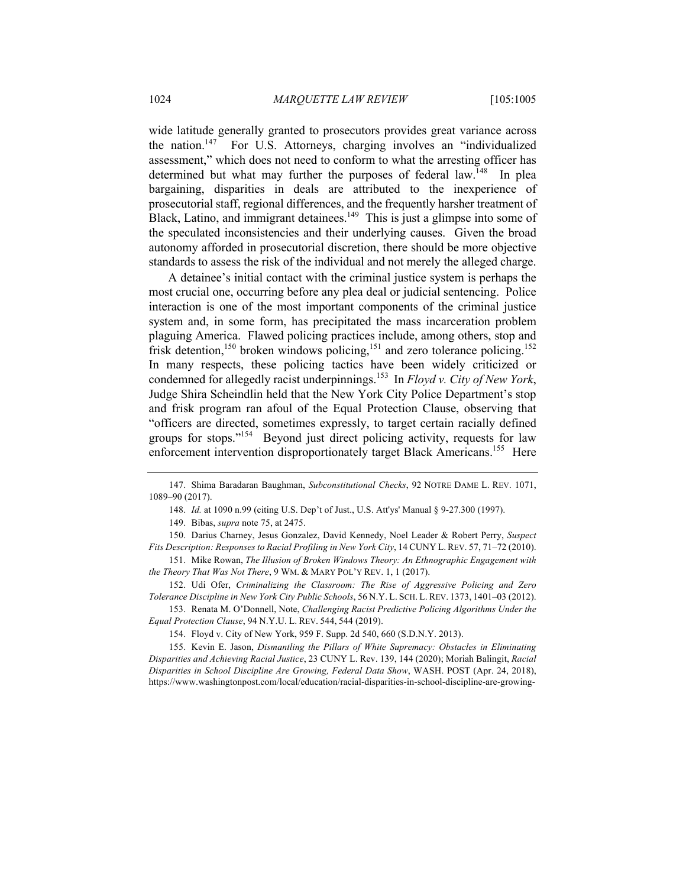wide latitude generally granted to prosecutors provides great variance across the nation.<sup>147</sup> For U.S. Attorneys, charging involves an "individualized assessment," which does not need to conform to what the arresting officer has determined but what may further the purposes of federal law.<sup>148</sup> In plea bargaining, disparities in deals are attributed to the inexperience of prosecutorial staff, regional differences, and the frequently harsher treatment of Black, Latino, and immigrant detainees.<sup>149</sup> This is just a glimpse into some of the speculated inconsistencies and their underlying causes. Given the broad autonomy afforded in prosecutorial discretion, there should be more objective standards to assess the risk of the individual and not merely the alleged charge.

A detainee's initial contact with the criminal justice system is perhaps the most crucial one, occurring before any plea deal or judicial sentencing. Police interaction is one of the most important components of the criminal justice system and, in some form, has precipitated the mass incarceration problem plaguing America. Flawed policing practices include, among others, stop and frisk detention,<sup>150</sup> broken windows policing,<sup>151</sup> and zero tolerance policing.<sup>152</sup> In many respects, these policing tactics have been widely criticized or condemned for allegedly racist underpinnings.<sup>153</sup> In *Floyd v. City of New York*, Judge Shira Scheindlin held that the New York City Police Department's stop and frisk program ran afoul of the Equal Protection Clause, observing that "officers are directed, sometimes expressly, to target certain racially defined groups for stops."<sup>154</sup> Beyond just direct policing activity, requests for law enforcement intervention disproportionately target Black Americans.<sup>155</sup> Here

148. *Id.* at 1090 n.99 (citing U.S. Dep't of Just., U.S. Att'ys' Manual § 9-27.300 (1997).

149. Bibas, *supra* note 75, at 2475.

150. Darius Charney, Jesus Gonzalez, David Kennedy, Noel Leader & Robert Perry, *Suspect Fits Description: Responses to Racial Profiling in New York City*, 14 CUNY L. REV. 57, 71–72 (2010).

151. Mike Rowan, *The Illusion of Broken Windows Theory: An Ethnographic Engagement with the Theory That Was Not There*, 9 WM. & MARY POL'Y REV. 1, 1 (2017).

152. Udi Ofer, *Criminalizing the Classroom: The Rise of Aggressive Policing and Zero Tolerance Discipline in New York City Public Schools*, 56 N.Y. L. SCH. L. REV. 1373, 1401–03 (2012).

153. Renata M. O'Donnell, Note, *Challenging Racist Predictive Policing Algorithms Under the Equal Protection Clause*, 94 N.Y.U. L. REV. 544, 544 (2019).

154. Floyd v. City of New York, 959 F. Supp. 2d 540, 660 (S.D.N.Y. 2013).

155. Kevin E. Jason, *Dismantling the Pillars of White Supremacy: Obstacles in Eliminating Disparities and Achieving Racial Justice*, 23 CUNY L. Rev. 139, 144 (2020); Moriah Balingit, *Racial Disparities in School Discipline Are Growing, Federal Data Show*, WASH. POST (Apr. 24, 2018), https://www.washingtonpost.com/local/education/racial-disparities-in-school-discipline-are-growing-

<sup>147.</sup> Shima Baradaran Baughman, *Subconstitutional Checks*, 92 NOTRE DAME L. REV. 1071, 1089–90 (2017).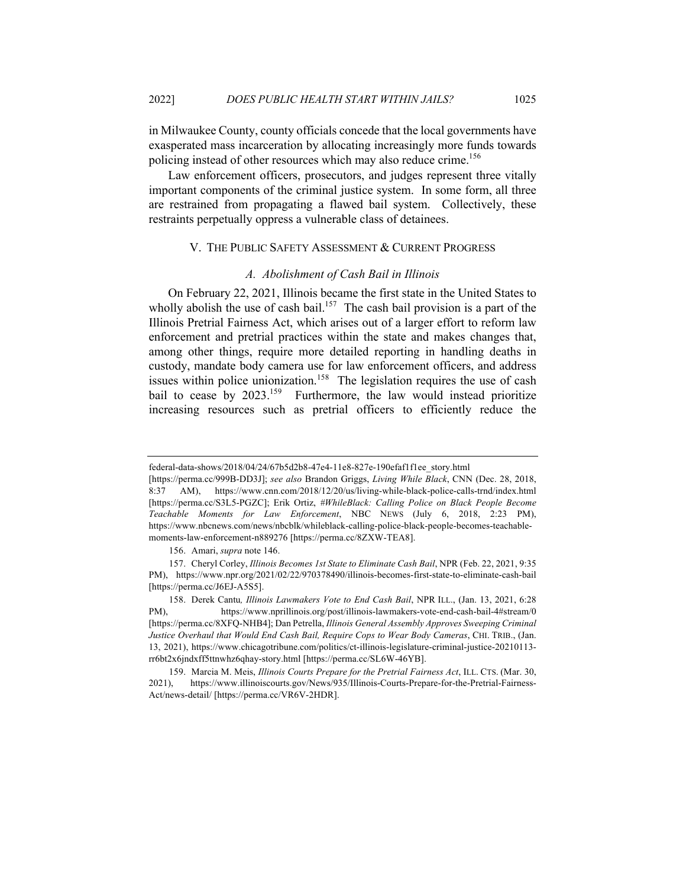in Milwaukee County, county officials concede that the local governments have exasperated mass incarceration by allocating increasingly more funds towards policing instead of other resources which may also reduce crime.<sup>156</sup>

Law enforcement officers, prosecutors, and judges represent three vitally important components of the criminal justice system. In some form, all three are restrained from propagating a flawed bail system. Collectively, these restraints perpetually oppress a vulnerable class of detainees.

#### V. THE PUBLIC SAFETY ASSESSMENT & CURRENT PROGRESS

#### *A. Abolishment of Cash Bail in Illinois*

On February 22, 2021, Illinois became the first state in the United States to wholly abolish the use of cash bail.<sup>157</sup> The cash bail provision is a part of the Illinois Pretrial Fairness Act, which arises out of a larger effort to reform law enforcement and pretrial practices within the state and makes changes that, among other things, require more detailed reporting in handling deaths in custody, mandate body camera use for law enforcement officers, and address issues within police unionization.<sup>158</sup> The legislation requires the use of cash bail to cease by 2023.<sup>159</sup> Furthermore, the law would instead prioritize increasing resources such as pretrial officers to efficiently reduce the

federal-data-shows/2018/04/24/67b5d2b8-47e4-11e8-827e-190efaf1f1ee\_story.html

<sup>[</sup>https://perma.cc/999B-DD3J]; *see also* Brandon Griggs, *Living While Black*, CNN (Dec. 28, 2018, 8:37 AM), https://www.cnn.com/2018/12/20/us/living-while-black-police-calls-trnd/index.html [https://perma.cc/S3L5-PGZC]; Erik Ortiz, *#WhileBlack: Calling Police on Black People Become Teachable Moments for Law Enforcement*, NBC NEWS (July 6, 2018, 2:23 PM), https://www.nbcnews.com/news/nbcblk/whileblack-calling-police-black-people-becomes-teachablemoments-law-enforcement-n889276 [https://perma.cc/8ZXW-TEA8].

<sup>156.</sup> Amari, *supra* note 146.

<sup>157.</sup> Cheryl Corley, *Illinois Becomes 1st State to Eliminate Cash Bail*, NPR (Feb. 22, 2021, 9:35 PM), https://www.npr.org/2021/02/22/970378490/illinois-becomes-first-state-to-eliminate-cash-bail [https://perma.cc/J6EJ-A5S5].

<sup>158.</sup> Derek Cantu*, Illinois Lawmakers Vote to End Cash Bail*, NPR ILL., (Jan. 13, 2021, 6:28 PM), https://www.nprillinois.org/post/illinois-lawmakers-vote-end-cash-bail-4#stream/0 [https://perma.cc/8XFQ-NHB4]; Dan Petrella, *Illinois General Assembly Approves Sweeping Criminal Justice Overhaul that Would End Cash Bail, Require Cops to Wear Body Cameras*, CHI. TRIB., (Jan. 13, 2021), https://www.chicagotribune.com/politics/ct-illinois-legislature-criminal-justice-20210113 rr6bt2x6jndxff5ttnwhz6qhay-story.html [https://perma.cc/SL6W-46YB].

<sup>159.</sup> Marcia M. Meis, *Illinois Courts Prepare for the Pretrial Fairness Act*, ILL. CTS. (Mar. 30, 2021), https://www.illinoiscourts.gov/News/935/Illinois-Courts-Prepare-for-the-Pretrial-Fairness-Act/news-detail/ [https://perma.cc/VR6V-2HDR].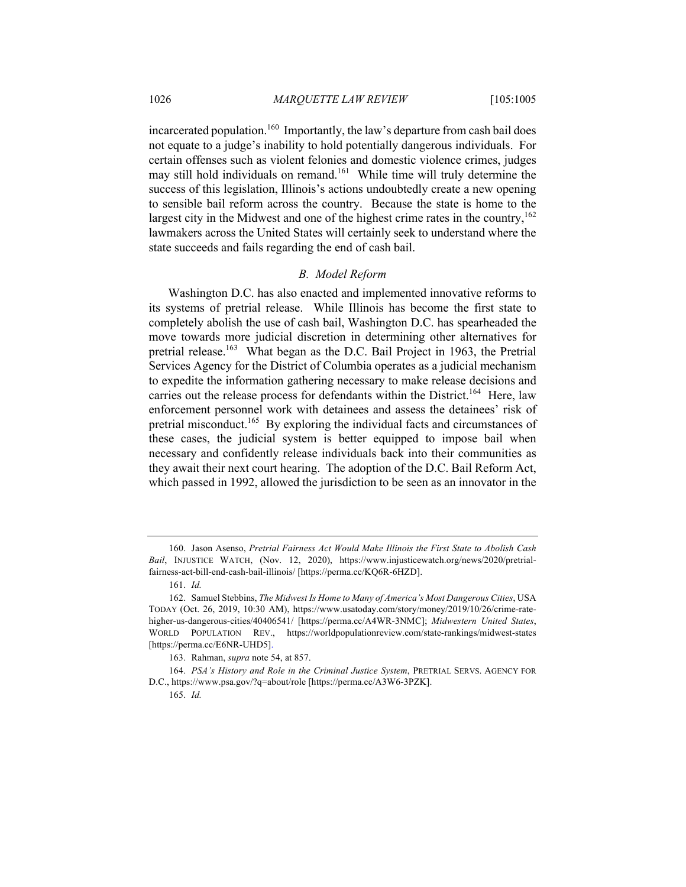incarcerated population.<sup>160</sup> Importantly, the law's departure from cash bail does not equate to a judge's inability to hold potentially dangerous individuals. For certain offenses such as violent felonies and domestic violence crimes, judges may still hold individuals on remand.<sup>161</sup> While time will truly determine the success of this legislation, Illinois's actions undoubtedly create a new opening to sensible bail reform across the country. Because the state is home to the largest city in the Midwest and one of the highest crime rates in the country,  $162$ lawmakers across the United States will certainly seek to understand where the state succeeds and fails regarding the end of cash bail.

#### *B. Model Reform*

Washington D.C. has also enacted and implemented innovative reforms to its systems of pretrial release. While Illinois has become the first state to completely abolish the use of cash bail, Washington D.C. has spearheaded the move towards more judicial discretion in determining other alternatives for pretrial release.<sup>163</sup> What began as the D.C. Bail Project in 1963, the Pretrial Services Agency for the District of Columbia operates as a judicial mechanism to expedite the information gathering necessary to make release decisions and carries out the release process for defendants within the District.<sup>164</sup> Here, law enforcement personnel work with detainees and assess the detainees' risk of pretrial misconduct.<sup>165</sup> By exploring the individual facts and circumstances of these cases, the judicial system is better equipped to impose bail when necessary and confidently release individuals back into their communities as they await their next court hearing. The adoption of the D.C. Bail Reform Act, which passed in 1992, allowed the jurisdiction to be seen as an innovator in the

<sup>160.</sup> Jason Asenso, *Pretrial Fairness Act Would Make Illinois the First State to Abolish Cash Bail*, INJUSTICE WATCH, (Nov. 12, 2020), https://www.injusticewatch.org/news/2020/pretrialfairness-act-bill-end-cash-bail-illinois/ [https://perma.cc/KQ6R-6HZD].

<sup>161.</sup> *Id.*

<sup>162.</sup> Samuel Stebbins, *The Midwest Is Home to Many of America's Most Dangerous Cities*, USA TODAY (Oct. 26, 2019, 10:30 AM), https://www.usatoday.com/story/money/2019/10/26/crime-ratehigher-us-dangerous-cities/40406541/ [https://perma.cc/A4WR-3NMC]; *Midwestern United States*, WORLD POPULATION REV., https://worldpopulationreview.com/state-rankings/midwest-states [https://perma.cc/E6NR-UHD5].

<sup>163.</sup> Rahman, *supra* note 54, at 857.

<sup>164.</sup> *PSA's History and Role in the Criminal Justice System*, PRETRIAL SERVS. AGENCY FOR D.C., https://www.psa.gov/?q=about/role [https://perma.cc/A3W6-3PZK].

<sup>165.</sup> *Id.*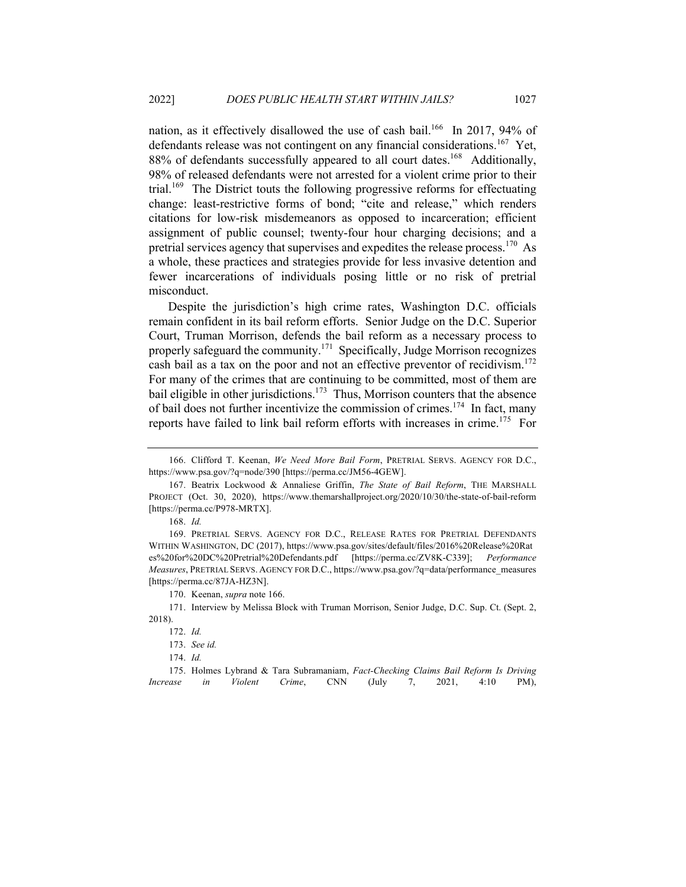nation, as it effectively disallowed the use of cash bail.<sup>166</sup> In 2017, 94% of defendants release was not contingent on any financial considerations.<sup>167</sup> Yet, 88% of defendants successfully appeared to all court dates.<sup>168</sup> Additionally, 98% of released defendants were not arrested for a violent crime prior to their trial.<sup>169</sup> The District touts the following progressive reforms for effectuating change: least-restrictive forms of bond; "cite and release," which renders citations for low-risk misdemeanors as opposed to incarceration; efficient assignment of public counsel; twenty-four hour charging decisions; and a pretrial services agency that supervises and expedites the release process.<sup>170</sup> As a whole, these practices and strategies provide for less invasive detention and fewer incarcerations of individuals posing little or no risk of pretrial misconduct.

Despite the jurisdiction's high crime rates, Washington D.C. officials remain confident in its bail reform efforts. Senior Judge on the D.C. Superior Court, Truman Morrison, defends the bail reform as a necessary process to properly safeguard the community.<sup>171</sup> Specifically, Judge Morrison recognizes cash bail as a tax on the poor and not an effective preventor of recidivism.<sup>172</sup> For many of the crimes that are continuing to be committed, most of them are bail eligible in other jurisdictions.<sup>173</sup> Thus, Morrison counters that the absence of bail does not further incentivize the commission of crimes.<sup>174</sup> In fact, many reports have failed to link bail reform efforts with increases in crime.<sup>175</sup> For

<sup>174.</sup> *Id.*

|  |  |  | 175. Holmes Lybrand & Tara Subramaniam, Fact-Checking Claims Bail Reform Is Driving |      |
|--|--|--|-------------------------------------------------------------------------------------|------|
|  |  |  | Increase in Violent Crime, CNN (July 7, 2021, 4:10                                  | PM), |

<sup>166.</sup> Clifford T. Keenan, *We Need More Bail Form*, PRETRIAL SERVS. AGENCY FOR D.C., https://www.psa.gov/?q=node/390 [https://perma.cc/JM56-4GEW].

<sup>167.</sup> Beatrix Lockwood & Annaliese Griffin, *The State of Bail Reform*, THE MARSHALL PROJECT (Oct. 30, 2020), https://www.themarshallproject.org/2020/10/30/the-state-of-bail-reform [https://perma.cc/P978-MRTX].

<sup>168.</sup> *Id.*

<sup>169.</sup> PRETRIAL SERVS. AGENCY FOR D.C., RELEASE RATES FOR PRETRIAL DEFENDANTS WITHIN WASHINGTON, DC (2017), https://www.psa.gov/sites/default/files/2016%20Release%20Rat es%20for%20DC%20Pretrial%20Defendants.pdf [https://perma.cc/ZV8K-C339]; *Performance Measures*, PRETRIAL SERVS. AGENCY FOR D.C., https://www.psa.gov/?q=data/performance\_measures [https://perma.cc/87JA-HZ3N].

<sup>170.</sup> Keenan, *supra* note 166.

<sup>171.</sup> Interview by Melissa Block with Truman Morrison, Senior Judge, D.C. Sup. Ct. (Sept. 2, 2018).

<sup>172.</sup> *Id.*

<sup>173.</sup> *See id.*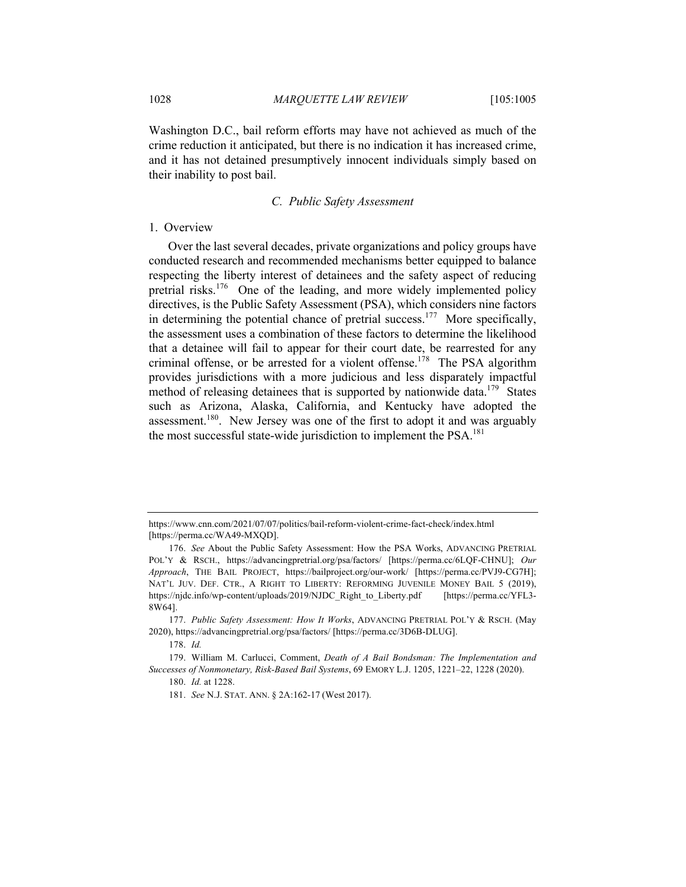Washington D.C., bail reform efforts may have not achieved as much of the crime reduction it anticipated, but there is no indication it has increased crime, and it has not detained presumptively innocent individuals simply based on their inability to post bail.

# *C. Public Safety Assessment*

#### 1. Overview

Over the last several decades, private organizations and policy groups have conducted research and recommended mechanisms better equipped to balance respecting the liberty interest of detainees and the safety aspect of reducing pretrial risks.<sup>176</sup> One of the leading, and more widely implemented policy directives, is the Public Safety Assessment (PSA), which considers nine factors in determining the potential chance of pretrial success.<sup>177</sup> More specifically, the assessment uses a combination of these factors to determine the likelihood that a detainee will fail to appear for their court date, be rearrested for any criminal offense, or be arrested for a violent offense.<sup>178</sup> The PSA algorithm provides jurisdictions with a more judicious and less disparately impactful method of releasing detainees that is supported by nationwide data.<sup>179</sup> States such as Arizona, Alaska, California, and Kentucky have adopted the assessment.<sup>180</sup>. New Jersey was one of the first to adopt it and was arguably the most successful state-wide jurisdiction to implement the  $PSA$ <sup>181</sup>

https://www.cnn.com/2021/07/07/politics/bail-reform-violent-crime-fact-check/index.html [https://perma.cc/WA49-MXQD].

<sup>176.</sup> *See* About the Public Safety Assessment: How the PSA Works, ADVANCING PRETRIAL POL'Y & RSCH., https://advancingpretrial.org/psa/factors/ [https://perma.cc/6LQF-CHNU]; *Our Approach*, THE BAIL PROJECT, https://bailproject.org/our-work/ [https://perma.cc/PVJ9-CG7H]; NAT'L JUV. DEF. CTR., A RIGHT TO LIBERTY: REFORMING JUVENILE MONEY BAIL 5 (2019), https://njdc.info/wp-content/uploads/2019/NJDC\_Right\_to\_Liberty.pdf [https://perma.cc/YFL3- 8W64].

<sup>177.</sup> *Public Safety Assessment: How It Works*, ADVANCING PRETRIAL POL'Y & RSCH. (May 2020), https://advancingpretrial.org/psa/factors/ [https://perma.cc/3D6B-DLUG].

<sup>178.</sup> *Id.*

<sup>179.</sup> William M. Carlucci, Comment, *Death of A Bail Bondsman: The Implementation and Successes of Nonmonetary, Risk-Based Bail Systems*, 69 EMORY L.J. 1205, 1221–22, 1228 (2020).

<sup>180.</sup> *Id.* at 1228.

<sup>181.</sup> *See* N.J. STAT. ANN. § 2A:162-17 (West 2017).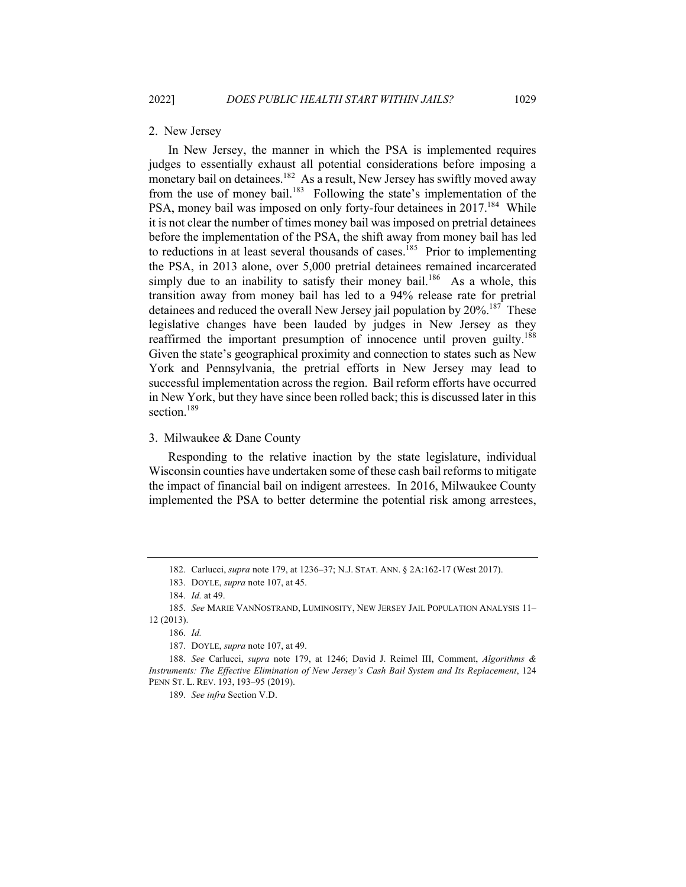# 2. New Jersey

In New Jersey, the manner in which the PSA is implemented requires judges to essentially exhaust all potential considerations before imposing a monetary bail on detainees.<sup>182</sup> As a result, New Jersey has swiftly moved away from the use of money bail.<sup>183</sup> Following the state's implementation of the PSA, money bail was imposed on only forty-four detainees in 2017.<sup>184</sup> While it is not clear the number of times money bail was imposed on pretrial detainees before the implementation of the PSA, the shift away from money bail has led to reductions in at least several thousands of cases.<sup>185</sup> Prior to implementing the PSA, in 2013 alone, over 5,000 pretrial detainees remained incarcerated simply due to an inability to satisfy their money bail.<sup>186</sup> As a whole, this transition away from money bail has led to a 94% release rate for pretrial detainees and reduced the overall New Jersey jail population by 20%.<sup>187</sup> These legislative changes have been lauded by judges in New Jersey as they reaffirmed the important presumption of innocence until proven guilty.<sup>188</sup> Given the state's geographical proximity and connection to states such as New York and Pennsylvania, the pretrial efforts in New Jersey may lead to successful implementation across the region. Bail reform efforts have occurred in New York, but they have since been rolled back; this is discussed later in this section.<sup>189</sup>

#### 3. Milwaukee & Dane County

Responding to the relative inaction by the state legislature, individual Wisconsin counties have undertaken some of these cash bail reforms to mitigate the impact of financial bail on indigent arrestees. In 2016, Milwaukee County implemented the PSA to better determine the potential risk among arrestees,

<sup>182.</sup> Carlucci, *supra* note 179, at 1236–37; N.J. STAT. ANN. § 2A:162-17 (West 2017).

<sup>183.</sup> DOYLE, *supra* note 107, at 45.

<sup>184.</sup> *Id.* at 49.

<sup>185.</sup> *See* MARIE VANNOSTRAND, LUMINOSITY, NEW JERSEY JAIL POPULATION ANALYSIS 11– 12 (2013).

<sup>186.</sup> *Id.*

<sup>187.</sup> DOYLE, *supra* note 107, at 49.

<sup>188.</sup> *See* Carlucci, *supra* note 179, at 1246; David J. Reimel III, Comment, *Algorithms & Instruments: The Effective Elimination of New Jersey's Cash Bail System and Its Replacement*, 124 PENN ST. L. REV. 193, 193–95 (2019).

<sup>189.</sup> *See infra* Section V.D.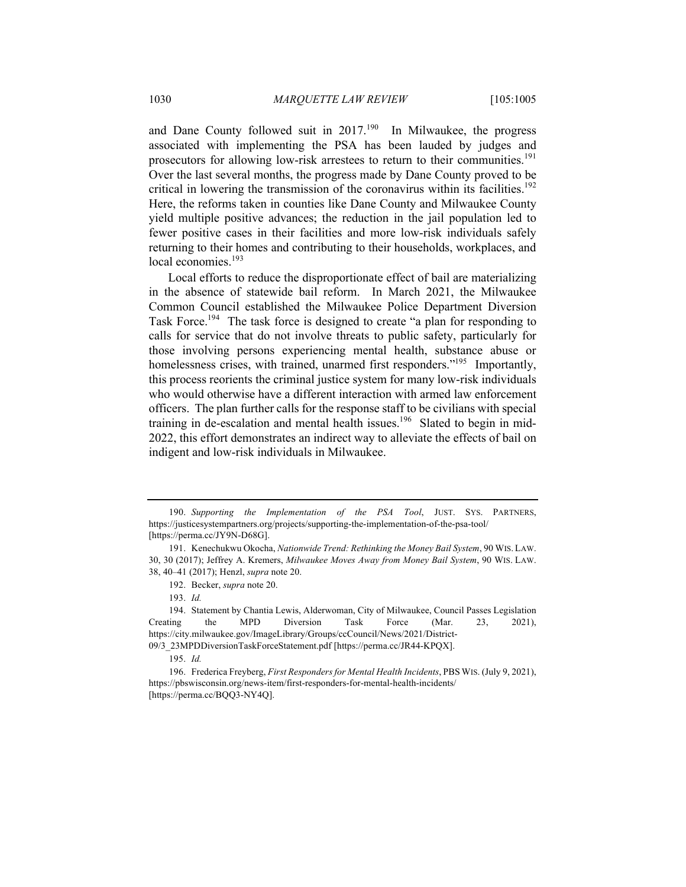and Dane County followed suit in  $2017<sup>190</sup>$  In Milwaukee, the progress associated with implementing the PSA has been lauded by judges and prosecutors for allowing low-risk arrestees to return to their communities.<sup>191</sup> Over the last several months, the progress made by Dane County proved to be critical in lowering the transmission of the coronavirus within its facilities.<sup>192</sup> Here, the reforms taken in counties like Dane County and Milwaukee County yield multiple positive advances; the reduction in the jail population led to fewer positive cases in their facilities and more low-risk individuals safely returning to their homes and contributing to their households, workplaces, and local economies.<sup>193</sup>

Local efforts to reduce the disproportionate effect of bail are materializing in the absence of statewide bail reform. In March 2021, the Milwaukee Common Council established the Milwaukee Police Department Diversion Task Force.<sup>194</sup> The task force is designed to create "a plan for responding to calls for service that do not involve threats to public safety, particularly for those involving persons experiencing mental health, substance abuse or homelessness crises, with trained, unarmed first responders."<sup>195</sup> Importantly, this process reorients the criminal justice system for many low-risk individuals who would otherwise have a different interaction with armed law enforcement officers. The plan further calls for the response staff to be civilians with special training in de-escalation and mental health issues.<sup>196</sup> Slated to begin in mid-2022, this effort demonstrates an indirect way to alleviate the effects of bail on indigent and low-risk individuals in Milwaukee.

09/3\_23MPDDiversionTaskForceStatement.pdf [https://perma.cc/JR44-KPQX].

<sup>190.</sup> *Supporting the Implementation of the PSA Tool*, JUST. SYS. PARTNERS, https://justicesystempartners.org/projects/supporting-the-implementation-of-the-psa-tool/ [https://perma.cc/JY9N-D68G].

<sup>191.</sup> Kenechukwu Okocha, *Nationwide Trend: Rethinking the Money Bail System*, 90 WIS. LAW. 30, 30 (2017); Jeffrey A. Kremers, *Milwaukee Moves Away from Money Bail System*, 90 WIS. LAW. 38, 40–41 (2017); Henzl, *supra* note 20.

<sup>192.</sup> Becker, *supra* note 20.

<sup>193.</sup> *Id.*

<sup>194.</sup> Statement by Chantia Lewis, Alderwoman, City of Milwaukee, Council Passes Legislation Creating the MPD Diversion Task Force (Mar. 23, 2021), https://city.milwaukee.gov/ImageLibrary/Groups/ccCouncil/News/2021/District-

<sup>195.</sup> *Id.*

<sup>196.</sup> Frederica Freyberg, *First Responders for Mental Health Incidents*, PBS WIS. (July 9, 2021), https://pbswisconsin.org/news-item/first-responders-for-mental-health-incidents/ [https://perma.cc/BQQ3-NY4Q].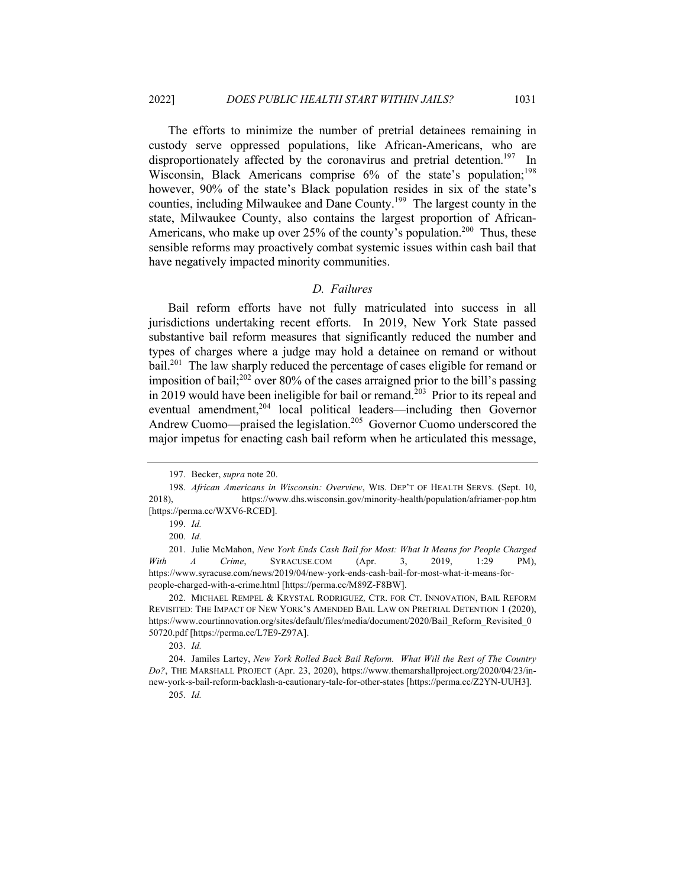The efforts to minimize the number of pretrial detainees remaining in custody serve oppressed populations, like African-Americans, who are disproportionately affected by the coronavirus and pretrial detention.<sup>197</sup> In Wisconsin, Black Americans comprise  $6\%$  of the state's population;<sup>198</sup> however, 90% of the state's Black population resides in six of the state's counties, including Milwaukee and Dane County.<sup>199</sup> The largest county in the state, Milwaukee County, also contains the largest proportion of African-Americans, who make up over 25% of the county's population.<sup>200</sup> Thus, these sensible reforms may proactively combat systemic issues within cash bail that have negatively impacted minority communities.

# *D. Failures*

Bail reform efforts have not fully matriculated into success in all jurisdictions undertaking recent efforts. In 2019, New York State passed substantive bail reform measures that significantly reduced the number and types of charges where a judge may hold a detainee on remand or without bail.<sup>201</sup> The law sharply reduced the percentage of cases eligible for remand or imposition of bail;<sup>202</sup> over 80% of the cases arraigned prior to the bill's passing in 2019 would have been ineligible for bail or remand.<sup>203</sup> Prior to its repeal and eventual amendment,<sup>204</sup> local political leaders—including then Governor Andrew Cuomo—praised the legislation.<sup>205</sup> Governor Cuomo underscored the major impetus for enacting cash bail reform when he articulated this message,

<sup>197.</sup> Becker, *supra* note 20.

<sup>198.</sup> *African Americans in Wisconsin: Overview*, WIS. DEP'T OF HEALTH SERVS. (Sept. 10, 2018), https://www.dhs.wisconsin.gov/minority-health/population/afriamer-pop.htm [https://perma.cc/WXV6-RCED].

<sup>199.</sup> *Id.*

<sup>200.</sup> *Id.*

<sup>201.</sup> Julie McMahon, *New York Ends Cash Bail for Most: What It Means for People Charged With A Crime*, SYRACUSE.COM (Apr. 3, 2019, 1:29 PM), https://www.syracuse.com/news/2019/04/new-york-ends-cash-bail-for-most-what-it-means-forpeople-charged-with-a-crime.html [https://perma.cc/M89Z-F8BW].

<sup>202.</sup> MICHAEL REMPEL & KRYSTAL RODRIGUEZ*,* CTR. FOR CT. INNOVATION, BAIL REFORM REVISITED: THE IMPACT OF NEW YORK'S AMENDED BAIL LAW ON PRETRIAL DETENTION 1 (2020), https://www.courtinnovation.org/sites/default/files/media/document/2020/Bail\_Reform\_Revisited\_0 50720.pdf [https://perma.cc/L7E9-Z97A].

<sup>203.</sup> *Id.*

<sup>204.</sup> Jamiles Lartey, *New York Rolled Back Bail Reform. What Will the Rest of The Country Do?*, THE MARSHALL PROJECT (Apr. 23, 2020), https://www.themarshallproject.org/2020/04/23/innew-york-s-bail-reform-backlash-a-cautionary-tale-for-other-states [https://perma.cc/Z2YN-UUH3].

<sup>205.</sup> *Id.*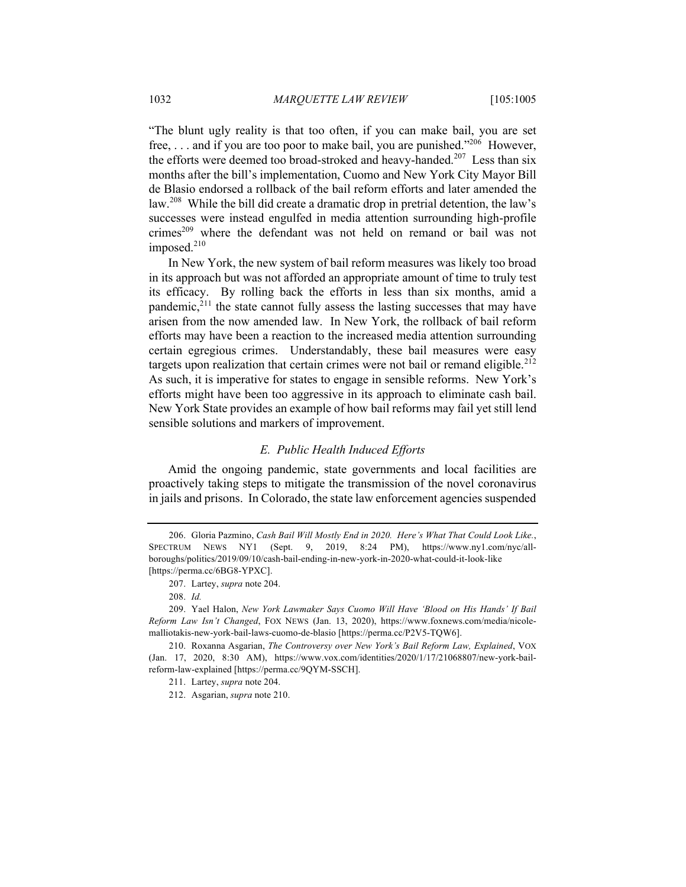"The blunt ugly reality is that too often, if you can make bail, you are set free, ... and if you are too poor to make bail, you are punished."<sup>206</sup> However, the efforts were deemed too broad-stroked and heavy-handed.<sup>207</sup> Less than six months after the bill's implementation, Cuomo and New York City Mayor Bill de Blasio endorsed a rollback of the bail reform efforts and later amended the law.<sup>208</sup> While the bill did create a dramatic drop in pretrial detention, the law's successes were instead engulfed in media attention surrounding high-profile crimes<sup>209</sup> where the defendant was not held on remand or bail was not imposed. $210$ 

In New York, the new system of bail reform measures was likely too broad in its approach but was not afforded an appropriate amount of time to truly test its efficacy. By rolling back the efforts in less than six months, amid a pandemic, $2^{11}$  the state cannot fully assess the lasting successes that may have arisen from the now amended law. In New York, the rollback of bail reform efforts may have been a reaction to the increased media attention surrounding certain egregious crimes. Understandably, these bail measures were easy targets upon realization that certain crimes were not bail or remand eligible.<sup>212</sup> As such, it is imperative for states to engage in sensible reforms. New York's efforts might have been too aggressive in its approach to eliminate cash bail. New York State provides an example of how bail reforms may fail yet still lend sensible solutions and markers of improvement.

#### *E. Public Health Induced Efforts*

Amid the ongoing pandemic, state governments and local facilities are proactively taking steps to mitigate the transmission of the novel coronavirus in jails and prisons. In Colorado, the state law enforcement agencies suspended

<sup>206.</sup> Gloria Pazmino, *Cash Bail Will Mostly End in 2020. Here's What That Could Look Like.*, SPECTRUM NEWS NY1 (Sept. 9, 2019, 8:24 PM), https://www.ny1.com/nyc/allboroughs/politics/2019/09/10/cash-bail-ending-in-new-york-in-2020-what-could-it-look-like [https://perma.cc/6BG8-YPXC].

<sup>207.</sup> Lartey, *supra* note 204.

<sup>208.</sup> *Id.*

<sup>209.</sup> Yael Halon, *New York Lawmaker Says Cuomo Will Have 'Blood on His Hands' If Bail Reform Law Isn't Changed*, FOX NEWS (Jan. 13, 2020), https://www.foxnews.com/media/nicolemalliotakis-new-york-bail-laws-cuomo-de-blasio [https://perma.cc/P2V5-TQW6].

<sup>210.</sup> Roxanna Asgarian, *The Controversy over New York's Bail Reform Law, Explained*, VOX (Jan. 17, 2020, 8:30 AM), https://www.vox.com/identities/2020/1/17/21068807/new-york-bailreform-law-explained [https://perma.cc/9QYM-SSCH].

<sup>211.</sup> Lartey, *supra* note 204.

<sup>212.</sup> Asgarian, *supra* note 210.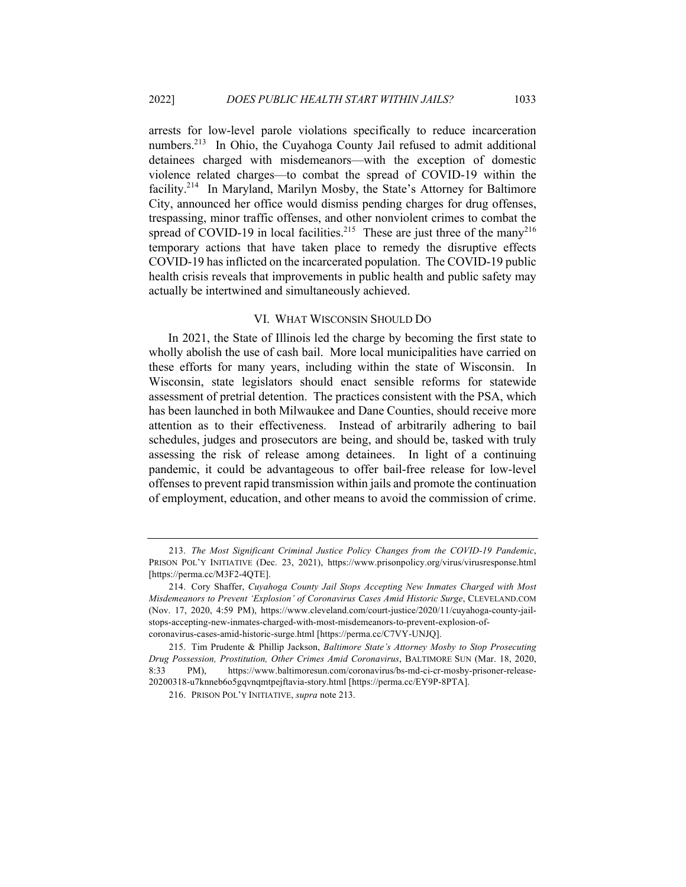arrests for low-level parole violations specifically to reduce incarceration numbers.<sup>213</sup> In Ohio, the Cuyahoga County Jail refused to admit additional detainees charged with misdemeanors—with the exception of domestic violence related charges—to combat the spread of COVID-19 within the facility.<sup>214</sup> In Maryland, Marilyn Mosby, the State's Attorney for Baltimore City, announced her office would dismiss pending charges for drug offenses, trespassing, minor traffic offenses, and other nonviolent crimes to combat the spread of COVID-19 in local facilities.<sup>215</sup> These are just three of the many<sup>216</sup> temporary actions that have taken place to remedy the disruptive effects COVID-19 has inflicted on the incarcerated population. The COVID-19 public health crisis reveals that improvements in public health and public safety may actually be intertwined and simultaneously achieved.

#### VI. WHAT WISCONSIN SHOULD DO

In 2021, the State of Illinois led the charge by becoming the first state to wholly abolish the use of cash bail. More local municipalities have carried on these efforts for many years, including within the state of Wisconsin. In Wisconsin, state legislators should enact sensible reforms for statewide assessment of pretrial detention. The practices consistent with the PSA, which has been launched in both Milwaukee and Dane Counties, should receive more attention as to their effectiveness. Instead of arbitrarily adhering to bail schedules, judges and prosecutors are being, and should be, tasked with truly assessing the risk of release among detainees. In light of a continuing pandemic, it could be advantageous to offer bail-free release for low-level offenses to prevent rapid transmission within jails and promote the continuation of employment, education, and other means to avoid the commission of crime.

<sup>213.</sup> *The Most Significant Criminal Justice Policy Changes from the COVID-19 Pandemic*, PRISON POL'Y INITIATIVE (Dec. 23, 2021), https://www.prisonpolicy.org/virus/virusresponse.html [https://perma.cc/M3F2-4QTE].

<sup>214.</sup> Cory Shaffer, *Cuyahoga County Jail Stops Accepting New Inmates Charged with Most Misdemeanors to Prevent 'Explosion' of Coronavirus Cases Amid Historic Surge*, CLEVELAND.COM (Nov. 17, 2020, 4:59 PM), https://www.cleveland.com/court-justice/2020/11/cuyahoga-county-jailstops-accepting-new-inmates-charged-with-most-misdemeanors-to-prevent-explosion-ofcoronavirus-cases-amid-historic-surge.html [https://perma.cc/C7VY-UNJQ].

<sup>215.</sup> Tim Prudente & Phillip Jackson, *Baltimore State's Attorney Mosby to Stop Prosecuting Drug Possession, Prostitution, Other Crimes Amid Coronavirus*, BALTIMORE SUN (Mar. 18, 2020, 8:33 PM), https://www.baltimoresun.com/coronavirus/bs-md-ci-cr-mosby-prisoner-release-20200318-u7knneb6o5gqvnqmtpejftavia-story.html [https://perma.cc/EY9P-8PTA].

<sup>216.</sup> PRISON POL'Y INITIATIVE, *supra* note 213.